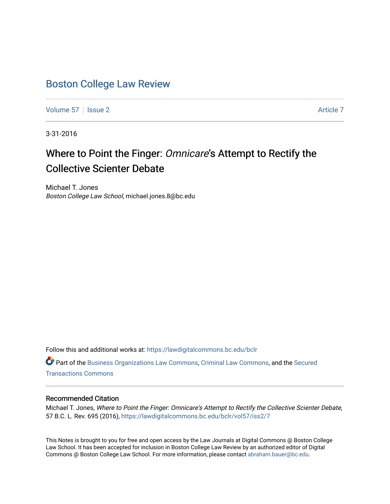# [Boston College Law Review](https://lawdigitalcommons.bc.edu/bclr)

[Volume 57](https://lawdigitalcommons.bc.edu/bclr/vol57) | [Issue 2](https://lawdigitalcommons.bc.edu/bclr/vol57/iss2) [Article 7](https://lawdigitalcommons.bc.edu/bclr/vol57/iss2/7) Article 7

3-31-2016

# Where to Point the Finger: Omnicare's Attempt to Rectify the Collective Scienter Debate

Michael T. Jones Boston College Law School, michael.jones.8@bc.edu

Follow this and additional works at: [https://lawdigitalcommons.bc.edu/bclr](https://lawdigitalcommons.bc.edu/bclr?utm_source=lawdigitalcommons.bc.edu%2Fbclr%2Fvol57%2Fiss2%2F7&utm_medium=PDF&utm_campaign=PDFCoverPages) 

Part of the [Business Organizations Law Commons](http://network.bepress.com/hgg/discipline/900?utm_source=lawdigitalcommons.bc.edu%2Fbclr%2Fvol57%2Fiss2%2F7&utm_medium=PDF&utm_campaign=PDFCoverPages), [Criminal Law Commons,](http://network.bepress.com/hgg/discipline/912?utm_source=lawdigitalcommons.bc.edu%2Fbclr%2Fvol57%2Fiss2%2F7&utm_medium=PDF&utm_campaign=PDFCoverPages) and the [Secured](http://network.bepress.com/hgg/discipline/876?utm_source=lawdigitalcommons.bc.edu%2Fbclr%2Fvol57%2Fiss2%2F7&utm_medium=PDF&utm_campaign=PDFCoverPages) [Transactions Commons](http://network.bepress.com/hgg/discipline/876?utm_source=lawdigitalcommons.bc.edu%2Fbclr%2Fvol57%2Fiss2%2F7&utm_medium=PDF&utm_campaign=PDFCoverPages)

# Recommended Citation

Michael T. Jones, Where to Point the Finger: Omnicare's Attempt to Rectify the Collective Scienter Debate, 57 B.C. L. Rev. 695 (2016), [https://lawdigitalcommons.bc.edu/bclr/vol57/iss2/7](https://lawdigitalcommons.bc.edu/bclr/vol57/iss2/7?utm_source=lawdigitalcommons.bc.edu%2Fbclr%2Fvol57%2Fiss2%2F7&utm_medium=PDF&utm_campaign=PDFCoverPages)

This Notes is brought to you for free and open access by the Law Journals at Digital Commons @ Boston College Law School. It has been accepted for inclusion in Boston College Law Review by an authorized editor of Digital Commons @ Boston College Law School. For more information, please contact [abraham.bauer@bc.edu.](mailto:abraham.bauer@bc.edu)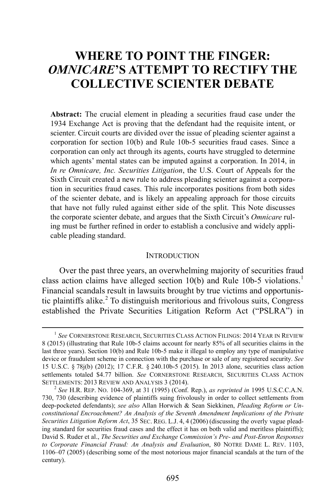# **WHERE TO POINT THE FINGER:**  *OMNICARE***'S ATTEMPT TO RECTIFY THE COLLECTIVE SCIENTER DEBATE**

**Abstract:** The crucial element in pleading a securities fraud case under the 1934 Exchange Act is proving that the defendant had the requisite intent, or scienter. Circuit courts are divided over the issue of pleading scienter against a corporation for section 10(b) and Rule 10b-5 securities fraud cases. Since a corporation can only act through its agents, courts have struggled to determine which agents' mental states can be imputed against a corporation. In 2014, in *In re Omnicare, Inc. Securities Litigation*, the U.S. Court of Appeals for the Sixth Circuit created a new rule to address pleading scienter against a corporation in securities fraud cases. This rule incorporates positions from both sides of the scienter debate, and is likely an appealing approach for those circuits that have not fully ruled against either side of the split. This Note discusses the corporate scienter debate, and argues that the Sixth Circuit's *Omnicare* ruling must be further refined in order to establish a conclusive and widely applicable pleading standard.

#### <span id="page-1-2"></span>**INTRODUCTION**

Over the past three years, an overwhelming majority of securities fraud class action claims have alleged section  $10(b)$  $10(b)$  and Rule 10b-5 violations.<sup>1</sup> Financial scandals result in lawsuits brought by true victims and opportunis-tic plaintiffs alike.<sup>[2](#page-1-1)</sup> To distinguish meritorious and frivolous suits, Congress established the Private Securities Litigation Reform Act ("PSLRA") in

<span id="page-1-0"></span> <sup>1</sup> *See* CORNERSTONE RESEARCH, SECURITIES CLASS ACTION FILINGS: <sup>2014</sup> YEAR IN REVIEW 8 (2015) (illustrating that Rule 10b-5 claims account for nearly 85% of all securities claims in the last three years). Section 10(b) and Rule 10b-5 make it illegal to employ any type of manipulative device or fraudulent scheme in connection with the purchase or sale of any registered security. *See*  15 U.S.C. § 78j(b) (2012); 17 C.F.R. § 240.10b-5 (2015). In 2013 alone, securities class action settlements totaled \$4.77 billion. *See* CORNERSTONE RESEARCH, SECURITIES CLASS ACTION SETTLEMENTS: <sup>2013</sup> REVIEW AND ANALYSIS 3 (2014). <sup>2</sup> *See* H.R. REP. NO. 104-369, at 31 (1995) (Conf. Rep.), *as reprinted in* 1995 U.S.C.C.A.N.

<span id="page-1-1"></span><sup>730, 730 (</sup>describing evidence of plaintiffs suing frivolously in order to collect settlements from deep-pocketed defendants); *see also* Allan Horwich & Sean Siekkinen, *Pleading Reform or Unconstitutional Encroachment? An Analysis of the Seventh Amendment Implications of the Private Securities Litigation Reform Act*, 35 SEC. REG. L.J. 4, 4 (2006) (discussing the overly vague pleading standard for securities fraud cases and the effect it has on both valid and meritless plaintiffs); David S. Ruder et al., *The Securities and Exchange Commission's Pre- and Post-Enron Responses to Corporate Financial Fraud: An Analysis and Evaluation*, 80 NOTRE DAME L. REV. 1103, 1106–07 (2005) (describing some of the most notorious major financial scandals at the turn of the century).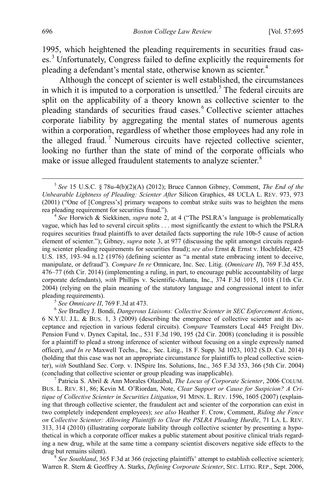<span id="page-2-0"></span>1995, which heightened the pleading requirements in securities fraud cas-es.<sup>[3](#page-2-1)</sup> Unfortunately, Congress failed to define explicitly the requirements for pleading a defendant's mental state, otherwise known as scienter.<sup>[4](#page-2-2)</sup>

<span id="page-2-8"></span>Although the concept of scienter is well established, the circumstances in which it is imputed to a corporation is unsettled.<sup>[5](#page-2-3)</sup> The federal circuits are split on the applicability of a theory known as collective scienter to the pleading standards of securities fraud cases.<sup>[6](#page-2-4)</sup> Collective scienter attaches corporate liability by aggregating the mental states of numerous agents within a corporation, regardless of whether those employees had any role in the alleged fraud.<sup>[7](#page-2-5)</sup> Numerous circuits have rejected collective scienter, looking no further than the state of mind of the corporate officials who make or issue alleged fraudulent statements to analyze scienter.<sup>[8](#page-2-6)</sup>

<span id="page-2-2"></span>vague, which has led to several circuit splits . . . most significantly the extent to which the PSLRA requires securities fraud plaintiffs to aver detailed facts supporting the rule 10b-5 cause of action element of scienter."); Gibney, *supra* note [3,](#page-2-0) at 977 (discussing the split amongst circuits regarding scienter pleading requirements for securities fraud); *see also* Ernst & Ernst v. Hochfelder, 425 U.S. 185, 193–94 n.12 (1976) (defining scienter as "a mental state embracing intent to deceive, manipulate, or defraud"). *Compare In re* Omnicare, Inc. Sec. Litig. (*Omnicare II*), 769 F.3d 455, 476–77 (6th Cir. 2014) (implementing a ruling, in part, to encourage public accountability of large corporate defendants), *with* Phillips v. Scientific-Atlanta, Inc., 374 F.3d 1015, 1018 (11th Cir. 2004) (relying on the plain meaning of the statutory language and congressional intent to infer pleading requirements).<br><sup>5</sup> *See Omnicare II*, 769 F.3d at 473.<br><sup>6</sup> *See* Bradley J. Bondi, *Dangerous Liaisons: Collective Scienter in SEC Enforcement Actions*,

<span id="page-2-4"></span><span id="page-2-3"></span>6 N.Y.U. J.L. & BUS. 1, 3 (2009) (describing the emergence of collective scienter and its acceptance and rejection in various federal circuits). *Compare* Teamsters Local 445 Freight Div. Pension Fund v. Dynex Capital, Inc., 531 F.3d 190, 195 (2d Cir. 2008) (concluding it is possible for a plaintiff to plead a strong inference of scienter without focusing on a single expressly named officer), *and In re* Maxwell Techs., Inc., Sec. Litig., 18 F. Supp. 3d 1023, 1032 (S.D. Cal. 2014) (holding that this case was not an appropriate circumstance for plaintiffs to plead collective scienter), *with* Southland Sec. Corp. v. INSpire Ins. Solutions, Inc., 365 F.3d 353, 366 (5th Cir. 2004) (concluding that collective scienter or group pleading was inapplicable). <sup>7</sup> Patricia S. Abril & Ann Morales Olazábal, *The Locus of Corporate Scienter*, 2006 COLUM.

<span id="page-2-5"></span>BUS. L. REV. 81, 86; Kevin M. O'Riordan, Note, *Clear Support or Cause for Suspicion? A Critique of Collective Scienter in Securities Litigation*, 91 MINN. L. REV. 1596, 1605 (2007) (explaining that through collective scienter, the fraudulent act and scienter of the corporation can exist in two completely independent employees); *see also* Heather F. Crow, Comment, *Riding the Fence on Collective Scienter: Allowing Plaintiffs to Clear the PSLRA Pleading Hurdle*, 71 LA. L. REV. 313, 314 (2010) (illustrating corporate liability through collective scienter by presenting a hypothetical in which a corporate officer makes a public statement about positive clinical trials regarding a new drug, while at the same time a company scientist discovers negative side effects to the drug but remains silent). 8 *See Southland*, 365 F.3d at 366 (rejecting plaintiffs' attempt to establish collective scienter);

<span id="page-2-6"></span>Warren R. Stern & Geoffrey A. Starks, *Defining Corporate Scienter*, SEC. LITIG. REP., Sept. 2006,

<span id="page-2-9"></span><span id="page-2-7"></span><span id="page-2-1"></span> <sup>3</sup> *See* 15 U.S.C. § 78u-4(b)(2)(A) (2012); Bruce Cannon Gibney, Comment, *The End of the Unbearable Lightness of Pleading: Scienter After* Silicon Graphics, 48 UCLA L. REV. 973, 973 (2001) ("One of [Congress's] primary weapons to combat strike suits was to heighten the mens rea pleading requirement for securities fraud."). <sup>4</sup> *See* Horwich & Siekkinen, *supra* note [2,](#page-1-2) at 4 ("The PSLRA's language is problematically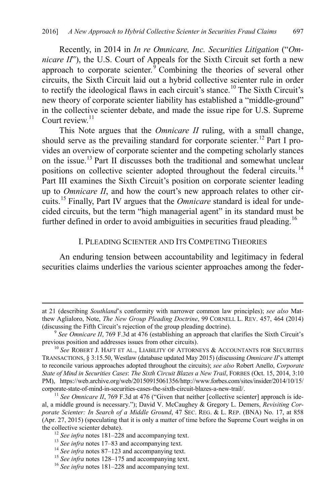Recently, in 2014 in *In re Omnicare, Inc. Securities Litigation* ("*Omnicare II*"), the U.S. Court of Appeals for the Sixth Circuit set forth a new approach to corporate scienter.  $\sqrt[3]{\text{Combining}}$  the theories of several other circuits, the Sixth Circuit laid out a hybrid collective scienter rule in order to rectify the ideological flaws in each circuit's stance.<sup>[10](#page-3-1)</sup> The Sixth Circuit's new theory of corporate scienter liability has established a "middle-ground" in the collective scienter debate, and made the issue ripe for U.S. Supreme Court review $11$ 

<span id="page-3-8"></span>This Note argues that the *Omnicare II* ruling, with a small change, should serve as the prevailing standard for corporate scienter.<sup>[12](#page-3-3)</sup> Part I provides an overview of corporate scienter and the competing scholarly stances on the issue. [13](#page-3-4) Part II discusses both the traditional and somewhat unclear positions on collective scienter adopted throughout the federal circuits.<sup>[14](#page-3-5)</sup> Part III examines the Sixth Circuit's position on corporate scienter leading up to *Omnicare II*, and how the court's new approach relates to other circuits.[15](#page-3-6) Finally, Part IV argues that the *Omnicare* standard is ideal for undecided circuits, but the term "high managerial agent" in its standard must be further defined in order to avoid ambiguities in securities fraud pleading.<sup>[16](#page-3-7)</sup>

#### I. PLEADING SCIENTER AND ITS COMPETING THEORIES

An enduring tension between accountability and legitimacy in federal securities claims underlies the various scienter approaches among the feder-

at 21 (describing *Southland*'s conformity with narrower common law principles); *see also* Matthew Aglialoro, Note, *The New Group Pleading Doctrine*, 99 CORNELL L. REV. 457, 464 (2014) (discussing the Fifth Circuit's rejection of the group pleading doctrine). 9 *See Omnicare II*, 769 F.3d at 476 (establishing an approach that clarifies the Sixth Circuit's

<span id="page-3-0"></span>previous position and addresses issues from other circuits). 10 *See* ROBERT J. HAFT ET AL., LIABILITY OF ATTORNEYS & ACCOUNTANTS FOR SECURITIES

<span id="page-3-1"></span>TRANSACTIONS, § 3:15.50, Westlaw (database updated May 2015) (discussing *Omnicare II*'s attempt to reconcile various approaches adopted throughout the circuits); *see also* Robert Anello, *Corporate State of Mind in Securities Cases*: *The Sixth Circuit Blazes a New Trail*, FORBES (Oct. 15, 2014, 3:10 PM), https://web.archive.org/web/20150915061356/http://www.forbes.com/sites/insider/2014/10/15/

<span id="page-3-2"></span><sup>&</sup>lt;sup>11</sup> See Omnicare II, 769 F.3d at 476 ("Given that neither [collective scienter] approach is ideal, a middle ground is necessary."); David V. McCaughey & Gregory L. Demers, *Revisiting Corporate Scienter: In Search of a Middle Ground*, 47 SEC. REG. & L. REP. (BNA) No. 17, at 858 (Apr. 27, 2015) (speculating that it is only a matter of time before the Supreme Court weighs in on

<span id="page-3-5"></span><span id="page-3-4"></span>

<span id="page-3-6"></span>

<span id="page-3-3"></span><sup>&</sup>lt;sup>12</sup> See infra note[s 181](#page-28-0)[–228](#page-35-0) and accompanying text.<br><sup>13</sup> See infra note[s 17–](#page-4-0)[83](#page-14-0) and accompanying text.<br><sup>14</sup> See infra note[s 87–](#page-15-0)[123](#page-20-0) and accompanying text.<br><sup>15</sup> See infra notes 128–175 and accompanying text.<br><sup>16</sup> See infra n

<span id="page-3-7"></span>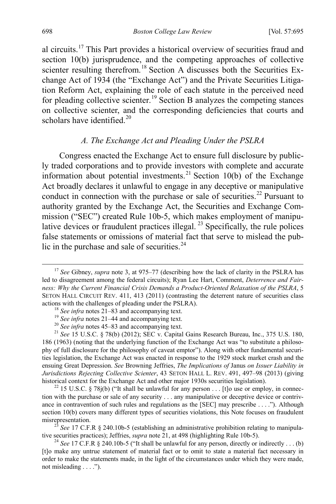<span id="page-4-0"></span>al circuits.[17](#page-4-2) This Part provides a historical overview of securities fraud and section 10(b) jurisprudence, and the competing approaches of collective scienter resulting therefrom.<sup>[18](#page-4-3)</sup> Section A discusses both the Securities Exchange Act of 1934 (the "Exchange Act") and the Private Securities Litigation Reform Act, explaining the role of each statute in the perceived need for pleading collective scienter. [19](#page-4-4) Section B analyzes the competing stances on collective scienter, and the corresponding deficiencies that courts and scholars have identified.<sup>20</sup>

# <span id="page-4-1"></span>*A. The Exchange Act and Pleading Under the PSLRA*

Congress enacted the Exchange Act to ensure full disclosure by publicly traded corporations and to provide investors with complete and accurate information about potential investments.<sup>[21](#page-4-6)</sup> Section 10(b) of the Exchange Act broadly declares it unlawful to engage in any deceptive or manipulative conduct in connection with the purchase or sale of securities.<sup>[22](#page-4-7)</sup> Pursuant to authority granted by the Exchange Act, the Securities and Exchange Commission ("SEC") created Rule 10b-5, which makes employment of manipu-lative devices or fraudulent practices illegal.<sup>[23](#page-4-8)</sup> Specifically, the rule polices false statements or omissions of material fact that serve to mislead the pub-lic in the purchase and sale of securities.<sup>[24](#page-4-9)</sup>

<span id="page-4-8"></span>tive securities practices); Jeffries, *supra* not[e 21,](#page-4-1) at 498 (highlighting Rule 10b-5).<br><sup>24</sup> *See* 17 C.F.R § 240.10b-5 ("It shall be unlawful for any person, directly or indirectly . . . (b)

<span id="page-4-2"></span><sup>&</sup>lt;sup>17</sup> See Gibney, *supra* not[e 3,](#page-2-0) at 975–77 (describing how the lack of clarity in the PSLRA has led to disagreement among the federal circuits); Ryan Lee Hart, Comment, *Deterrence and Fairness: Why the Current Financial Crisis Demands a Product-Oriented Relaxation of the PSLRA*, 5 SETON HALL CIRCUIT REV. 411, 413 (2011) (contrasting the deterrent nature of securities class actions with the challenges of pleading under the PSLRA).

<span id="page-4-6"></span><span id="page-4-5"></span><span id="page-4-4"></span><span id="page-4-3"></span><sup>&</sup>lt;sup>18</sup> See infra note[s 21–](#page-4-1)[83](#page-14-0) and accompanying text.<br><sup>19</sup> See infra notes 21–[44](#page-8-0) and accompanying text.<br><sup>20</sup> See infra note[s 45–](#page-8-1)83 and accompanying text.<br><sup>21</sup> See 15 U.S.C. § 78(b) (2012); SEC v. Capital Gains Research Bureau 186 (1963) (noting that the underlying function of the Exchange Act was "to substitute a philosophy of full disclosure for the philosophy of caveat emptor"). Along with other fundamental securities legislation, the Exchange Act was enacted in response to the 1929 stock market crash and the ensuing Great Depression. *See* Browning Jeffries, *The Implications of* Janus *on Issuer Liability in Jurisdictions Rejecting Collective Scienter*, 43 SETON HALL L. REV. 491, 497–98 (2013) (giving historical context for the Exchange Act and other major 1930s securities legislation).<br><sup>22</sup> 15 U.S.C. § 78j(b) ("It shall be unlawful for any person . . . [t]o use or employ, in connec-

<span id="page-4-7"></span>tion with the purchase or sale of any security . . . any manipulative or deceptive device or contrivance in contravention of such rules and regulations as the [SEC] may prescribe . . . ."). Although section 10(b) covers many different types of securities violations, this Note focuses on fraudulent misrepresentation.<br><sup>23</sup> *See* 17 C.F.R § 240.10b-5 (establishing an administrative prohibition relating to manipula-

<span id="page-4-9"></span><sup>[</sup>t]o make any untrue statement of material fact or to omit to state a material fact necessary in order to make the statements made, in the light of the circumstances under which they were made, not misleading . . . .").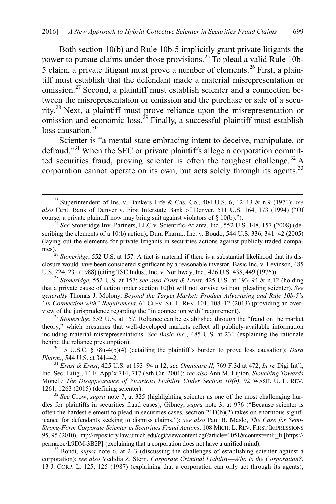Both section 10(b) and Rule 10b-5 implicitly grant private litigants the power to pursue claims under those provisions.<sup>[25](#page-5-0)</sup> To plead a valid Rule 10b- $\overline{5}$  claim, a private litigant must prove a number of elements.<sup>[26](#page-5-1)</sup> First, a plaintiff must establish that the defendant made a material misrepresentation or omission.<sup>[27](#page-5-2)</sup> Second, a plaintiff must establish scienter and a connection between the misrepresentation or omission and the purchase or sale of a secu-rity.<sup>[28](#page-5-3)</sup> Next, a plaintiff must prove reliance upon the misrepresentation or omission and economic loss.<sup>[29](#page-5-4)</sup> Finally, a successful plaintiff must establish loss causation.<sup>[30](#page-5-5)</sup>

<span id="page-5-11"></span><span id="page-5-10"></span><span id="page-5-9"></span>Scienter is "a mental state embracing intent to deceive, manipulate, or defraud."<sup>[31](#page-5-6)</sup> When the SEC or private plaintiffs allege a corporation commit-ted securities fraud, proving scienter is often the toughest challenge.<sup>[32](#page-5-7)</sup> A corporation cannot operate on its own, but acts solely through its agents.<sup>[33](#page-5-8)</sup>

<span id="page-5-5"></span>behind the reliance presumption).<br><sup>30</sup> 15 U.S.C. § 78u-4(b)(4) (detailing the plaintiff's burden to prove loss causation); *Dura Pharm.*, 544 U.S. at 341–42.

<span id="page-5-6"></span>*Pharm.*, 544 U.S. at 341–42. <sup>31</sup> *Ernst & Ernst*, 425 U.S. at 193–94 n.12; *see Omnicare II*, 769 F.3d at 472; *In re* Digi Int'l, Inc. Sec. Litig., 14 F. App'x 714, 717 (8th Cir. 2001); *see also* Ann M. Lipton, *Slouching Towards*  Monell*: The Disappearance of Vicarious Liability Under Section 10(b)*, 92 WASH. U. L. REV. 1261, 1263 (2015) (defining scienter).

<span id="page-5-7"></span> $\frac{32}{2}$  See Crow, *supra* note [7,](#page-2-7) at 325 (highlighting scienter as one of the most challenging hurdles for plaintiffs in securities fraud cases); Gibney, *supra* note [3,](#page-2-0) at 976 ("Because scienter is often the hardest element to plead in securities cases, section  $21D(b)(2)$  takes on enormous significance for defendants seeking to dismiss claims."); *see also* Paul B. Maslo, *The Case for Semi-Strong-Form Corporate Scienter in Securities Fraud Actions*, 108 MICH. L. REV. FIRST IMPRESSIONS 95, 95 (2010), http://repository.law.umich.edu/cgi/viewcontent.cgi?article=1051&context=mlr\_fi [https:// perma.cc/L9DM-3B2P] (explaining that a corporation does not have a unified mind). <sup>33</sup> Bondi, *supra* note [6,](#page-2-8) at 2–3 (discussing the challenges of establishing scienter against a

<span id="page-5-8"></span>corporation); *see also* Yedidia Z. Stern, *Corporate Criminal Liability—Who Is the Corporation?*, 13 J. CORP. L. 125, 125 (1987) (explaining that a corporation can only act through its agents);

<span id="page-5-0"></span> <sup>25</sup> Superintendent of Ins. v. Bankers Life & Cas. Co., 404 U.S. 6, 12–13 & n.9 (1971); *see also* Cent. Bank of Denver v. First Interstate Bank of Denver, 511 U.S. 164, 173 (1994) ("Of course, a private plaintiff now may bring suit against violators of § 10(b).").

<span id="page-5-1"></span><sup>&</sup>lt;sup>26</sup> See Stoneridge Inv. Partners, LLC v. Scientific-Atlanta, Inc., 552 U.S. 148, 157 (2008) (describing the elements of a 10(b) action); Dura Pharm., Inc. v. Boudo, 544 U.S. 336, 341–42 (2005) (laying out the elements for private litigants in securities actions against publicly traded companies).27 *Stoneridge*, 552 U.S. at 157. A fact is material if there is a substantial likelihood that its dis-

<span id="page-5-2"></span>closure would have been considered significant by a reasonable investor. Basic Inc. v. Levinson, 485 U.S. 224, 231 (1988) (citing TSC Indus., Inc. v. Northway, Inc., 426 U.S. 438, 449 (1976)).

<span id="page-5-3"></span><sup>&</sup>lt;sup>28</sup> Stoneridge, 552 U.S. at 157; *see also Ernst & Ernst*, 425 U.S. at 193–94 & n.12 (holding that a private cause of action under section 10(b) will not survive without pleading scienter). *See generally* Thomas J. Molony, *Beyond the Target Market: Product Advertising and Rule 10b-5's "in Connection with" Requirement*, 61 CLEV. ST. L. REV. 101, 108–12 (2013) (providing an overview of the jurisprudence regarding the "in connection with" requirement). 29 *Stoneridge*, 552 U.S. at 157. Reliance can be established through the "fraud on the market

<span id="page-5-4"></span>theory," which presumes that well-developed markets reflect all publicly-available information including material misrepresentations. *See Basic Inc.*, 485 U.S. at 231 (explaining the rationale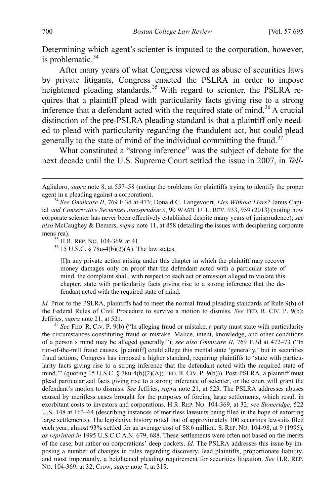<span id="page-6-4"></span>Determining which agent's scienter is imputed to the corporation, however, is problematic. $34$ 

After many years of what Congress viewed as abuse of securities laws by private litigants, Congress enacted the PSLRA in order to impose heightened pleading standards.<sup>[35](#page-6-1)</sup> With regard to scienter, the PSLRA requires that a plaintiff plead with particularity facts giving rise to a strong inference that a defendant acted with the required state of mind.<sup>[36](#page-6-2)</sup> A crucial distinction of the pre-PSLRA pleading standard is that a plaintiff only needed to plead with particularity regarding the fraudulent act, but could plead generally to the state of mind of the individual committing the fraud.<sup>[37](#page-6-3)</sup>

What constituted a "strong inference" was the subject of debate for the next decade until the U.S. Supreme Court settled the issue in 2007, in *Tell-*

[I]n any private action arising under this chapter in which the plaintiff may recover money damages only on proof that the defendant acted with a particular state of mind, the complaint shall, with respect to each act or omission alleged to violate this chapter, state with particularity facts giving rise to a strong inference that the defendant acted with the required state of mind.

*Id.* Prior to the PSLRA, plaintiffs had to meet the normal fraud pleading standards of Rule 9(b) of the Federal Rules of Civil Procedure to survive a motion to dismiss. *See* FED. R. CIV. P. 9(b); Jeffries, *supra* not[e 21,](#page-4-1) at 521. <sup>37</sup> *See* FED. R. CIV. P. 9(b) ("In alleging fraud or mistake, a party must state with particularity

<span id="page-6-3"></span>the circumstances constituting fraud or mistake. Malice, intent, knowledge, and other conditions of a person's mind may be alleged generally."); *see also Omnicare II*, 769 F.3d at 472–73 ("In run-of-the-mill fraud causes, [plaintiff] could allege this mental state 'generally,' but in securities fraud actions, Congress has imposed a higher standard, requiring plaintiffs to 'state with particularity facts giving rise to a strong inference that the defendant acted with the required state of mind.'" (quoting 15 U.S.C.  $\S$  78u-4(b)(2)(A); FED. R. CIV. P. 9(b))). Post-PSLRA, a plaintiff must plead particularized facts giving rise to a strong inference of scienter, or the court will grant the defendant's motion to dismiss. *See* Jeffries, *supra* note [21,](#page-4-1) at 523. The PSLRA addresses abuses caused by meritless cases brought for the purposes of forcing large settlements, which result in exorbitant costs to investors and corporations. H.R. REP. NO. 104-369, at 32; *see Stoneridge*, 522 U.S. 148 at 163–64 (describing instances of meritless lawsuits being filed in the hope of extorting large settlements). The legislative history noted that of approximately 300 securities lawsuits filed each year, almost 93% settled for an average cost of \$8.6 million. S. REP. NO. 104-98, at 9 (1995), *as reprinted in* 1995 U.S.C.C.A.N. 679, 688. These settlements were often not based on the merits of the case, but rather on corporations' deep pockets. *Id.* The PSLRA addresses this issue by imposing a number of changes in rules regarding discovery, lead plaintiffs, proportionate liability, and most importantly, a heightened pleading requirement for securities litigation. *See* H.R. REP. NO. 104-369, at 32; Crow, *supra* not[e 7,](#page-2-7) at 319.

Aglialoro, *supra* note 8, at 557–58 (noting the problems for plaintiffs trying to identify the proper agent in a pleading against a corporation). 34 *See Omnicare II*, 769 F.3d at 473; Donald C. Langevoort, *Lies Without Liars?* Janus Capi-

<span id="page-6-0"></span>tal *and Conservative Securities Jurisprudence*, 90 WASH. U. L. REV. 933, 959 (2013) (noting how corporate scienter has never been effectively established despite many years of jurisprudence); *see also* McCaughey & Demers, *supra* not[e 11,](#page-3-8) at 858 (detailing the issues with deciphering corporate mens rea).  $35$  H.R. REP. NO. 104-369, at 41.  $36$  15 U.S.C. § 78u-4(b)(2)(A). The law states,

<span id="page-6-2"></span><span id="page-6-1"></span>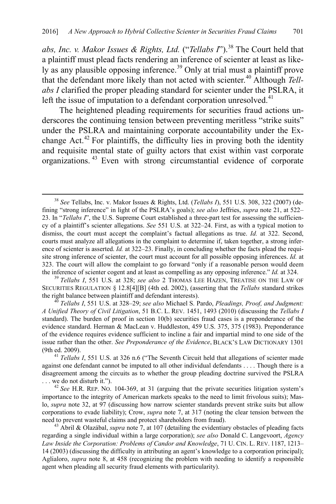<span id="page-7-6"></span>*abs, Inc. v. Makor Issues & Rights, Ltd.* ("*Tellabs I*"). [38](#page-7-0) The Court held that a plaintiff must plead facts rendering an inference of scienter at least as like-ly as any plausible opposing inference.<sup>[39](#page-7-1)</sup> Only at trial must a plaintiff prove that the defendant more likely than not acted with scienter.<sup>[40](#page-7-2)</sup> Although *Tellabs I* clarified the proper pleading standard for scienter under the PSLRA, it left the issue of imputation to a defendant corporation unresolved.<sup>[41](#page-7-3)</sup>

The heightened pleading requirements for securities fraud actions underscores the continuing tension between preventing meritless "strike suits" under the PSLRA and maintaining corporate accountability under the Ex-change Act.<sup>[42](#page-7-4)</sup> For plaintiffs, the difficulty lies in proving both the identity and requisite mental state of guilty actors that exist within vast corporate organizations. [43](#page-7-5) Even with strong circumstantial evidence of corporate

<span id="page-7-1"></span>SECURITIES REGULATION § 12.8[4][B] (4th ed. 2002), (asserting that the *Tellabs* standard strikes

<span id="page-7-2"></span><sup>40</sup> Tellabs I, 551 U.S. at 328–29; *see also* Michael S. Pardo, *Pleadings, Proof, and Judgment: A Unified Theory of Civil Litigation*, 51 B.C. L. REV. 1451, 1493 (2010) (discussing the *Tellabs I*  standard). The burden of proof in section 10(b) securities fraud cases is a preponderance of the evidence standard. Herman & MacLean v. Huddleston, 459 U.S. 375, 375 (1983). Preponderance of the evidence requires evidence sufficient to incline a fair and impartial mind to one side of the issue rather than the other. *See Preponderance of the Evidence*, BLACK'S LAW DICTIONARY 1301 (9th ed. 2009). <sup>41</sup> *Tellabs I*, 551 U.S. at 326 n.6 ("The Seventh Circuit held that allegations of scienter made

<span id="page-7-3"></span>against one defendant cannot be imputed to all other individual defendants . . . . Though there is a disagreement among the circuits as to whether the group pleading doctrine survived the PSLRA . . . we do not disturb it."). 42 *See* H.R. REP. NO. 104-369, at 31 (arguing that the private securities litigation system's

<span id="page-7-4"></span>importance to the integrity of American markets speaks to the need to limit frivolous suits); Maslo, *supra* note [32,](#page-5-9) at 97 (discussing how narrow scienter standards prevent strike suits but allow corporations to evade liability); Crow, *supra* note [7,](#page-2-7) at 317 (noting the clear tension between the

<span id="page-7-5"></span> $43$  Abril & Olazábal, *supra* note [7,](#page-2-7) at 107 (detailing the evidentiary obstacles of pleading facts regarding a single individual within a large corporation); *see also* Donald C. Langevoort, *Agency Law Inside the Corporation: Problems of Candor and Knowledge*, 71 U. CIN. L. REV. 1187, 1213– 14 (2003) (discussing the difficulty in attributing an agent's knowledge to a corporation principal); Aglialoro, *supra* note [8,](#page-2-9) at 458 (recognizing the problem with needing to identify a responsible agent when pleading all security fraud elements with particularity).

<span id="page-7-0"></span> <sup>38</sup> *See* Tellabs, Inc. v. Makor Issues & Rights, Ltd. (*Tellabs I*), 551 U.S. 308, 322 (2007) (defining "strong inference" in light of the PSLRA's goals); *see also* Jeffries, *supra* not[e 21,](#page-4-1) at 522– 23. In "*Tellabs I*", the U.S. Supreme Court established a three-part test for assessing the sufficiency of a plaintiff's scienter allegations. *See* 551 U.S. at 322–24. First, as with a typical motion to dismiss, the court must accept the complaint's factual allegations as true. *Id.* at 322. Second, courts must analyze all allegations in the complaint to determine if, taken together, a strong inference of scienter is asserted. *Id.* at 322–23. Finally, in concluding whether the facts plead the requisite strong inference of scienter, the court must account for all possible opposing inferences. *Id.* at 323. The court will allow the complaint to go forward "only if a reasonable person would deem the inference of scienter cogent and at least as compelling as any opposing inference." *Id.* at 324. <sup>39</sup> *Tellabs I*, 551 U.S. at 328; *see also* 2 THOMAS LEE HAZEN, TREATISE ON THE LAW OF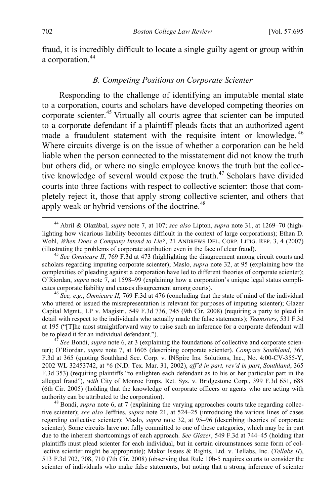fraud, it is incredibly difficult to locate a single guilty agent or group within a corporation.<sup>44</sup>

# <span id="page-8-1"></span><span id="page-8-0"></span>*B. Competing Positions on Corporate Scienter*

Responding to the challenge of identifying an imputable mental state to a corporation, courts and scholars have developed competing theories on corporate scienter. [45](#page-8-3) Virtually all courts agree that scienter can be imputed to a corporate defendant if a plaintiff pleads facts that an authorized agent made a fraudulent statement with the requisite intent or knowledge. [46](#page-8-4) Where circuits diverge is on the issue of whether a corporation can be held liable when the person connected to the misstatement did not know the truth but others did, or where no single employee knows the truth but the collective knowledge of several would expose the truth.<sup> $47$ </sup> Scholars have divided courts into three factions with respect to collective scienter: those that completely reject it, those that apply strong collective scienter, and others that apply weak or hybrid versions of the doctrine. $48$ 

<span id="page-8-4"></span>who uttered or issued the misrepresentation is relevant for purposes of imputing scienter); Glazer Capital Mgmt., LP v. Magistri, 549 F.3d 736, 745 (9th Cir. 2008) (requiring a party to plead in detail with respect to the individuals who actually made the false statements); *Teamsters*, 531 F.3d at 195 ("[T]he most straightforward way to raise such an inference for a corporate defendant will be to plead it for an individual defendant."). <sup>47</sup> *See* Bondi, *supra* not[e 6,](#page-2-8) at 3 (explaining the foundations of collective and corporate scien-

<span id="page-8-5"></span>ter); O'Riordan, *supra* note [7,](#page-2-7) at 1605 (describing corporate scienter). *Compare Southland*, 365 F.3d at 365 (quoting Southland Sec. Corp. v. INSpire Ins. Solutions, Inc., No. 4:00-CV-355-Y, 2002 WL 32453742, at \*6 (N.D. Tex. Mar. 31, 2002), *aff'd in part, rev'd in part*, *Southland*, 365 F.3d 353) (requiring plaintiffs "to enlighten each defendant as to his or her particular part in the alleged fraud"), *with* City of Monroe Emps. Ret. Sys. v. Bridgestone Corp., 399 F.3d 651, 688 (6th Cir. 2005) (holding that the knowledge of corporate officers or agents who are acting with authority can be attributed to the corporation). <sup>48</sup> Bondi, *supra* note [6,](#page-2-8) at 7 (explaining the varying approaches courts take regarding collec-

<span id="page-8-6"></span>tive scienter); *see also* Jeffries, *supra* note [21,](#page-4-1) at 524–25 (introducing the various lines of cases regarding collective scienter); Maslo, *supra* note [32,](#page-5-9) at 95–96 (describing theories of corporate scienter). Some circuits have not fully committed to one of these categories, which may be in part due to the inherent shortcomings of each approach. *See Glazer*, 549 F.3d at 744–45 (holding that plaintiffs must plead scienter for each individual, but in certain circumstances some form of collective scienter might be appropriate); Makor Issues & Rights, Ltd. v. Tellabs, Inc. (*Tellabs II*), 513 F.3d 702, 708, 710 (7th Cir. 2008) (observing that Rule 10b-5 requires courts to consider the scienter of individuals who make false statements, but noting that a strong inference of scienter

<span id="page-8-2"></span> <sup>44</sup> Abril & Olazábal, *supra* note [7,](#page-2-7) at 107; *see also* Lipton, *supra* note [31,](#page-5-10) at 1269–70 (highlighting how vicarious liability becomes difficult in the context of large corporations); Ethan D. Wohl, *When Does a Company Intend to Lie?*, 21 ANDREWS DEL. CORP. LITIG. REP. 3, 4 (2007) (illustrating the problems of corporate attribution even in the face of clear fraud). 45 *See Omnicare II*, 769 F.3d at 473 (highlighting the disagreement among circuit courts and

<span id="page-8-3"></span>scholars regarding imputing corporate scienter); Maslo, *supra* note [32,](#page-5-9) at 95 (explaining how the complexities of pleading against a corporation have led to different theories of corporate scienter); O'Riordan, *supra* note [7,](#page-2-7) at 1598–99 (explaining how a corporation's unique legal status complicates corporate liability and causes disagreement among courts). <sup>46</sup> *See, e.g.*, *Omnicare II*, 769 F.3d at 476 (concluding that the state of mind of the individual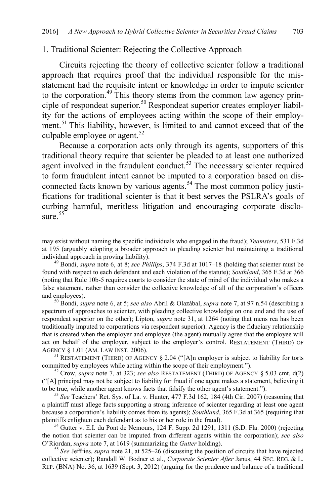#### 1. Traditional Scienter: Rejecting the Collective Approach

Circuits rejecting the theory of collective scienter follow a traditional approach that requires proof that the individual responsible for the misstatement had the requisite intent or knowledge in order to impute scienter to the corporation.<sup>[49](#page-9-0)</sup> This theory stems from the common law agency prin-ciple of respondeat superior.<sup>[50](#page-9-1)</sup> Respondeat superior creates employer liability for the actions of employees acting within the scope of their employ-ment.<sup>[51](#page-9-2)</sup> This liability, however, is limited to and cannot exceed that of the culpable employee or agent.<sup>52</sup>

Because a corporation acts only through its agents, supporters of this traditional theory require that scienter be pleaded to at least one authorized agent involved in the fraudulent conduct. $53$  The necessary scienter required to form fraudulent intent cannot be imputed to a corporation based on dis-connected facts known by various agents.<sup>[54](#page-9-5)</sup> The most common policy justifications for traditional scienter is that it best serves the PSLRA's goals of curbing harmful, meritless litigation and encouraging corporate disclosure  $55$ <sup>55</sup>

<span id="page-9-1"></span>spectrum of approaches to scienter, with pleading collective knowledge on one end and the use of respondeat superior on the other); Lipton, *supra* note [31,](#page-5-10) at 1264 (noting that mens rea has been traditionally imputed to corporations via respondeat superior). Agency is the fiduciary relationship that is created when the employer and employee (the agent) mutually agree that the employee will act on behalf of the employer, subject to the employer's control. RESTATEMENT (THIRD) OF AGENCY § 1.01 (AM. LAW INST. 2006).<br><sup>51</sup> RESTATEMENT (THIRD) OF AGENCY § 2.04 ("[A]n employer is subject to liability for torts

<span id="page-9-3"></span><span id="page-9-2"></span>committed by employees while acting within the scope of their employment."). <sup>52</sup> Crow, *supra* note [7,](#page-2-7) at 323; *see also* RESTATEMENT (THIRD) OF AGENCY § 5.03 cmt. d(2)

<span id="page-9-4"></span>("[A] principal may not be subject to liability for fraud if one agent makes a statement, believing it

<span id="page-9-5"></span> $t^{53}$  *See* Teachers' Ret. Sys. of La. v. Hunter, 477 F.3d 162, 184 (4th Cir. 2007) (reasoning that a plaintiff must allege facts supporting a strong inference of scienter regarding at least one agent because a corporation's liability comes from its agents); *Southland*, 365 F.3d at 365 (requiring that

<span id="page-9-6"></span><sup>54</sup> Gutter v. E.I. du Pont de Nemours,  $124$  F. Supp. 2d 1291, 1311 (S.D. Fla. 2000) (rejecting the notion that scienter can be imputed from different agents within the corporation); *see also*  O'Riordan, *supra* note [7,](#page-2-7) at 1619 (summarizing the *Gutter* holding). <sup>55</sup> *See* Jeffries, *supra* note [21,](#page-4-1) at 525–26 (discussing the position of circuits that have rejected

collective scienter); Randall W. Bodner et al., *Corporate Scienter After* Janus, 44 SEC. REG. & L. REP. (BNA) No. 36, at 1639 (Sept. 3, 2012) (arguing for the prudence and balance of a traditional

<span id="page-9-0"></span>may exist without naming the specific individuals who engaged in the fraud); *Teamsters*, 531 F.3d at 195 (arguably adopting a broader approach to pleading scienter but maintaining a traditional individual approach in proving liability). <sup>49</sup> Bondi, *supra* note [6,](#page-2-8) at 8; *see Phillips*, 374 F.3d at 1017–18 (holding that scienter must be

found with respect to each defendant and each violation of the statute); *Southland*, 365 F.3d at 366 (noting that Rule 10b-5 requires courts to consider the state of mind of the individual who makes a false statement, rather than consider the collective knowledge of all of the corporation's officers and employees). <sup>50</sup> Bondi, *supra* not[e 6,](#page-2-8) at 5; *see also* Abril & Olazábal, *supra* not[e 7,](#page-2-7) at 97 n.54 (describing a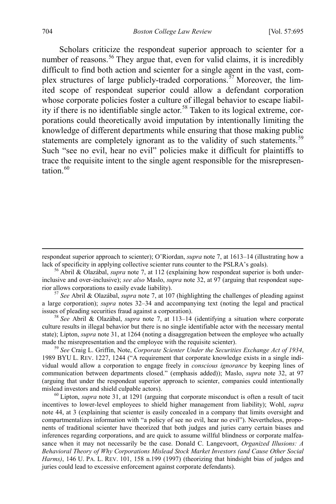<span id="page-10-6"></span>Scholars criticize the respondeat superior approach to scienter for a number of reasons.<sup>[56](#page-10-0)</sup> They argue that, even for valid claims, it is incredibly difficult to find both action and scienter for a single agent in the vast, complex structures of large publicly-traded corporations.<sup> $57$ </sup> Moreover, the limited scope of respondeat superior could allow a defendant corporation whose corporate policies foster a culture of illegal behavior to escape liabil-ity if there is no identifiable single actor.<sup>[58](#page-10-2)</sup> Taken to its logical extreme, corporations could theoretically avoid imputation by intentionally limiting the knowledge of different departments while ensuring that those making public statements are completely ignorant as to the validity of such statements.<sup>[59](#page-10-3)</sup> Such "see no evil, hear no evil" policies make it difficult for plaintiffs to trace the requisite intent to the single agent responsible for the misrepresentation $60$ 

<span id="page-10-1"></span>a large corporation); *supra* notes [32](#page-5-9)[–34](#page-6-4) and accompanying text (noting the legal and practical issues of pleading securities fraud against a corporation). <sup>58</sup> *See* Abril & Olazábal, *supra* note [7,](#page-2-7) at 113–14 (identifying a situation where corporate

<span id="page-10-2"></span>culture results in illegal behavior but there is no single identifiable actor with the necessary mental state); Lipton, *supra* not[e 31,](#page-5-10) at 1264 (noting a disaggregation between the employee who actually made the misrepresentation and the employee with the requisite scienter). <sup>59</sup> *See* Craig L. Griffin, Note, *Corporate Scienter Under the Securities Exchange Act of 1934*,

<span id="page-10-3"></span>1989 BYU L. REV. 1227, 1244 ("A requirement that corporate knowledge exists in a single individual would allow a corporation to engage freely in *conscious ignorance* by keeping lines of communication between departments closed." (emphasis added)); Maslo, *supra* note [32,](#page-5-9) at 97 (arguing that under the respondeat superior approach to scienter, companies could intentionally

<span id="page-10-4"></span><sup>60</sup> Lipton, *supra* note [31,](#page-5-10) at 1291 (arguing that corporate misconduct is often a result of tacit incentives to lower-level employees to shield higher management from liability); Wohl, *supra* note [44,](#page-8-0) at 3 (explaining that scienter is easily concealed in a company that limits oversight and compartmentalizes information with "a policy of see no evil, hear no evil"). Nevertheless, proponents of traditional scienter have theorized that both judges and juries carry certain biases and inferences regarding corporations, and are quick to assume willful blindness or corporate malfeasance when it may not necessarily be the case. Donald C. Langevoort, *Organized Illusions: A Behavioral Theory of Why Corporations Mislead Stock Market Investors (and Cause Other Social Harms)*, 146 U. PA. L. REV. 101, 158 n.199 (1997) (theorizing that hindsight bias of judges and juries could lead to excessive enforcement against corporate defendants).

<span id="page-10-5"></span>respondeat superior approach to scienter); O'Riordan, *supra* not[e 7,](#page-2-7) at 1613–14 (illustrating how a lack of specificity in applying collective scienter runs counter to the PSLRA's goals). <sup>56</sup> Abril & Olazábal, *supra* note [7,](#page-2-7) at 112 (explaining how respondeat superior is both under-

<span id="page-10-0"></span>inclusive and over-inclusive); *see also* Maslo, *supra* note [32,](#page-5-9) at 97 (arguing that respondeat superior allows corporations to easily evade liability). 57 *See* Abril & Olazábal, *supra* not[e 7,](#page-2-7) at 107 (highlighting the challenges of pleading against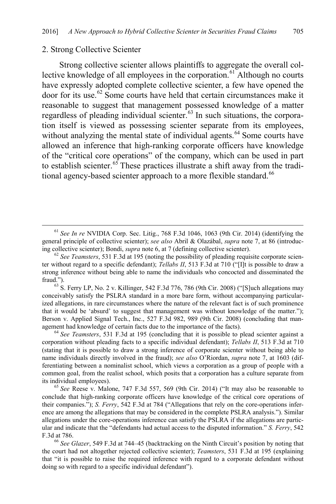#### 2. Strong Collective Scienter

Strong collective scienter allows plaintiffs to aggregate the overall col-lective knowledge of all employees in the corporation.<sup>[61](#page-11-0)</sup> Although no courts have expressly adopted complete collective scienter, a few have opened the door for its use.[62](#page-11-1) Some courts have held that certain circumstances make it reasonable to suggest that management possessed knowledge of a matter regardless of pleading individual scienter.<sup>[63](#page-11-2)</sup> In such situations, the corporation itself is viewed as possessing scienter separate from its employees, without analyzing the mental state of individual agents.<sup>[64](#page-11-3)</sup> Some courts have allowed an inference that high-ranking corporate officers have knowledge of the "critical core operations" of the company, which can be used in part to establish scienter.<sup>[65](#page-11-4)</sup> These practices illustrate a shift away from the tradi-tional agency-based scienter approach to a more flexible standard.<sup>[66](#page-11-5)</sup>

<span id="page-11-2"></span>conceivably satisfy the PSLRA standard in a more bare form, without accompanying particularized allegations, in rare circumstances where the nature of the relevant fact is of such prominence that it would be 'absurd' to suggest that management was without knowledge of the matter."); Berson v. Applied Signal Tech., Inc., 527 F.3d 982, 989 (9th Cir. 2008) (concluding that management had knowledge of certain facts due to the importance of the facts). 64 *See Teamsters*, 531 F.3d at 195 (concluding that it is possible to plead scienter against a

<span id="page-11-3"></span>corporation without pleading facts to a specific individual defendant); *Tellabs II*, 513 F.3d at 710 (stating that it is possible to draw a strong inference of corporate scienter without being able to name individuals directly involved in the fraud); *see also* O'Riordan, *supra* note [7,](#page-2-7) at 1603 (differentiating between a nominalist school, which views a corporation as a group of people with a common goal, from the realist school, which posits that a corporation has a culture separate from its individual employees). 65 *See* Reese v. Malone, 747 F.3d 557, 569 (9th Cir. 2014) ("It may also be reasonable to

<span id="page-11-4"></span>conclude that high-ranking corporate officers have knowledge of the critical core operations of their companies."); *S. Ferry*, 542 F.3d at 784 ("Allegations that rely on the core-operations inference are among the allegations that may be considered in the complete PSLRA analysis."). Similar allegations under the core-operations inference can satisfy the PSLRA if the allegations are particular and indicate that the "defendants had actual access to the disputed information." *S. Ferry*, 542 F.3d at 786. <sup>66</sup> *See Glazer*, 549 F.3d at 744–45 (backtracking on the Ninth Circuit's position by noting that

<span id="page-11-5"></span>the court had not altogether rejected collective scienter); *Teamsters*, 531 F.3d at 195 (explaining that "it is possible to raise the required inference with regard to a corporate defendant without doing so with regard to a specific individual defendant").

<span id="page-11-0"></span> <sup>61</sup> *See In re* NVIDIA Corp. Sec. Litig., 768 F.3d 1046, 1063 (9th Cir. 2014) (identifying the general principle of collective scienter); *see also* Abril & Olazábal, *supra* not[e 7,](#page-2-7) at 86 (introducing collective scienter); Bondi, *supra* not[e 6,](#page-2-8) at 7 (defining collective scienter). 62 *See Teamsters*, 531 F.3d at 195 (noting the possibility of pleading requisite corporate scien-

<span id="page-11-1"></span>ter without regard to a specific defendant); *Tellabs II*, 513 F.3d at 710 ("[I]t is possible to draw a strong inference without being able to name the individuals who concocted and disseminated the fraud.").<br><sup>63</sup> S. Ferry LP, No. 2 v. Killinger, 542 F.3d 776, 786 (9th Cir. 2008) ("[S]uch allegations may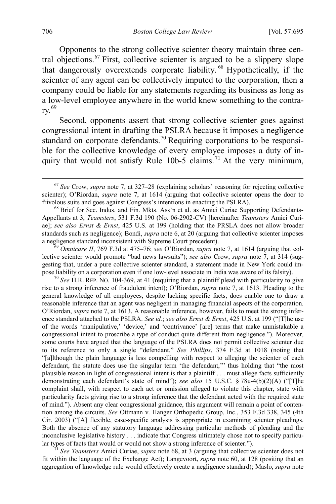<span id="page-12-6"></span><span id="page-12-0"></span>Opponents to the strong collective scienter theory maintain three central objections.[67](#page-12-1) First, collective scienter is argued to be a slippery slope that dangerously overextends corporate liability.<sup>[68](#page-12-2)</sup> Hypothetically, if the scienter of any agent can be collectively imputed to the corporation, then a company could be liable for any statements regarding its business as long as a low-level employee anywhere in the world knew something to the contrary.[69](#page-12-3)

Second, opponents assert that strong collective scienter goes against congressional intent in drafting the PSLRA because it imposes a negligence standard on corporate defendants.<sup>[70](#page-12-4)</sup> Requiring corporations to be responsible for the collective knowledge of every employee imposes a duty of in-quiry that would not satisfy Rule 10b-5 claims.<sup>[71](#page-12-5)</sup> At the very minimum,

<span id="page-12-3"></span>lective scienter would promote "bad news lawsuits"); *see also* Crow, *supra* note [7,](#page-2-7) at 314 (suggesting that, under a pure collective scienter standard, a statement made in New York could impose liability on a corporation even if one low-level associate in India was aware of its falsity). <sup>70</sup> *See* H.R. REP. NO. 104-369, at 41 (requiring that a plaintiff plead with particularity to give

<span id="page-12-4"></span>rise to a strong inference of fraudulent intent); O'Riordan, *supra* note [7,](#page-2-7) at 1613. Pleading to the general knowledge of all employees, despite lacking specific facts, does enable one to draw a reasonable inference that an agent was negligent in managing financial aspects of the corporation. O'Riordan, *supra* not[e 7,](#page-2-7) at 1613. A reasonable inference, however, fails to meet the strong inference standard attached to the PSLRA. *See id.*; *see also Ernst & Ernst*, 425 U.S. at 199 ("[T]he use of the words 'manipulative,' 'device,' and 'contrivance' [are] terms that make unmistakable a congressional intent to proscribe a type of conduct quite different from negligence."). Moreover, some courts have argued that the language of the PSLRA does not permit collective scienter due to its reference to only a single "defendant." *See Phillips*, 374 F.3d at 1018 (noting that "[a]lthough the plain language is less compelling with respect to alleging the scienter of each defendant, the statute does use the singular term 'the defendant,'" thus holding that "the most plausible reason in light of congressional intent is that a plaintiff . . . must allege facts sufficiently demonstrating each defendant's state of mind"); *see also* 15 U.S.C. § 78u-4(b)(2)(A) ("[T]he complaint shall, with respect to each act or omission alleged to violate this chapter, state with particularity facts giving rise to a strong inference that the defendant acted with the required state of mind."). Absent any clear congressional guidance, this argument will remain a point of contention among the circuits. *See* Ottmann v. Hanger Orthopedic Group, Inc., 353 F.3d 338, 345 (4th Cir. 2003) ("[A] flexible, case-specific analysis is appropriate in examining scienter pleadings. Both the absence of any statutory language addressing particular methods of pleading and the inconclusive legislative history . . . indicate that Congress ultimately chose not to specify particular types of facts that would or would not show a strong inference of scienter."). <sup>71</sup> *See Teamsters* Amici Curiae, *supra* note [68,](#page-12-0) at 3 (arguing that collective scienter does not

<span id="page-12-5"></span>fit within the language of the Exchange Act); Langevoort, *supra* not[e 60,](#page-10-5) at 128 (positing that an aggregation of knowledge rule would effectively create a negligence standard); Maslo, *supra* note

<span id="page-12-1"></span> <sup>67</sup> *See* Crow, *supra* note [7,](#page-2-7) at 327–28 (explaining scholars' reasoning for rejecting collective scienter); O'Riordan, *supra* note [7,](#page-2-7) at 1614 (arguing that collective scienter opens the door to frivolous suits and goes against Congress's intentions in enacting the PSLRA).<br><sup>68</sup> Brief for Sec. Indus. and Fin. Mkts. Ass'n et al. as Amici Curiae Supporting Defendants-

<span id="page-12-2"></span>Appellants at 3, *Teamsters*, 531 F.3d 190 (No. 06-2902-CV) [hereinafter *Teamsters* Amici Curiae]; *see also Ernst & Ernst*, 425 U.S. at 199 (holding that the PRSLA does not allow broader standards such as negligence); Bondi, *supra* note [6,](#page-2-8) at 20 (arguing that collective scienter imposes a negligence standard inconsistent with Supreme Court precedent). <sup>69</sup> *Omnicare II*, 769 F.3d at 475–76; *see* O'Riordan, *supra* note [7,](#page-2-7) at 1614 (arguing that col-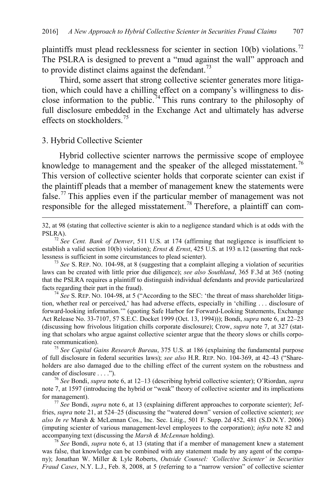plaintiffs must plead recklessness for scienter in section  $10(b)$  violations.<sup>[72](#page-13-0)</sup> The PSLRA is designed to prevent a "mud against the wall" approach and to provide distinct claims against the defendant.<sup>[73](#page-13-1)</sup>

Third, some assert that strong collective scienter generates more litigation, which could have a chilling effect on a company's willingness to dis-close information to the public.<sup>[74](#page-13-2)</sup> This runs contrary to the philosophy of full disclosure embedded in the Exchange Act and ultimately has adverse effects on stockholders<sup>[75](#page-13-3)</sup>

#### <span id="page-13-7"></span>3. Hybrid Collective Scienter

Hybrid collective scienter narrows the permissive scope of employee knowledge to management and the speaker of the alleged misstatement.<sup>[76](#page-13-4)</sup> This version of collective scienter holds that corporate scienter can exist if the plaintiff pleads that a member of management knew the statements were false.[77](#page-13-5) This applies even if the particular member of management was not responsible for the alleged misstatement.<sup>[78](#page-13-6)</sup> Therefore, a plaintiff can com-

<span id="page-13-2"></span>tion, whether real or perceived,' has had adverse effects, especially in 'chilling . . . disclosure of forward-looking information.'" (quoting Safe Harbor for Forward-Looking Statements, Exchange Act Release No. 33-7107, 57 S.E.C. Docket 1999 (Oct. 13, 1994))); Bondi, *supra* note [6,](#page-2-8) at 22–23 (discussing how frivolous litigation chills corporate disclosure); Crow, *supra* not[e 7,](#page-2-7) at 327 (stating that scholars who argue against collective scienter argue that the theory slows or chills corporate communication). 75 *See Capital Gains Research Bureau*, 375 U.S. at 186 (explaining the fundamental purpose

<span id="page-13-3"></span>of full disclosure in federal securities laws); *see also* H.R. REP. NO. 104-369, at 42–43 ("Shareholders are also damaged due to the chilling effect of the current system on the robustness and candor of disclosure . . . ."). <sup>76</sup> *See* Bondi, *supra* not[e 6,](#page-2-8) at 12–13 (describing hybrid collective scienter); O'Riordan, *supra*

<span id="page-13-4"></span>note [7,](#page-2-7) at 1597 (introducing the hybrid or "weak" theory of collective scienter and its implications

<span id="page-13-5"></span><sup>77</sup> See Bondi, *supra* not[e 6,](#page-2-8) at 13 (explaining different approaches to corporate scienter); Jeffries, *supra* note [21,](#page-4-1) at 524–25 (discussing the "watered down" version of collective scienter); *see also In re* Marsh & McLennan Cos., Inc. Sec. Litig., 501 F. Supp. 2d 452, 481 (S.D.N.Y. 2006) (imputing scienter of various management-level employees to the corporation); *infra* note [82](#page-14-1) and accompanying text (discussing the *Marsh & McLennan* holding). <sup>78</sup> *See* Bondi, *supra* note [6,](#page-2-8) at 13 (stating that if a member of management knew a statement

<span id="page-13-6"></span>was false, that knowledge can be combined with any statement made by any agent of the company); Jonathan W. Miller & Lyle Roberts, *Outside Counsel: 'Collective Scienter' in Securities Fraud Cases*, N.Y. L.J., Feb. 8, 2008, at 5 (referring to a "narrow version" of collective scienter

[32,](#page-5-9) at 98 (stating that collective scienter is akin to a negligence standard which is at odds with the

<span id="page-13-0"></span>PSLRA). <sup>72</sup> *See Cent. Bank of Denver*, 511 U.S. at 174 (affirming that negligence is insufficient to establish a valid section 10(b) violation); *Ernst & Ernst*, 425 U.S. at 193 n.12 (asserting that reck-<br>lessness is sufficient in some circumstances to plead scienter).

<span id="page-13-1"></span> $\frac{73}{3}$  *See* S. REP. NO. 104-98, at 8 (suggesting that a complaint alleging a violation of securities laws can be created with little prior due diligence); *see also Southland*, 365 F.3d at 365 (noting that the PSLRA requires a plaintiff to distinguish individual defendants and provide particularized facts regarding their part in the fraud). <sup>74</sup> *See* S. REP. NO. 104-98, at 5 ("According to the SEC: 'the threat of mass shareholder litiga-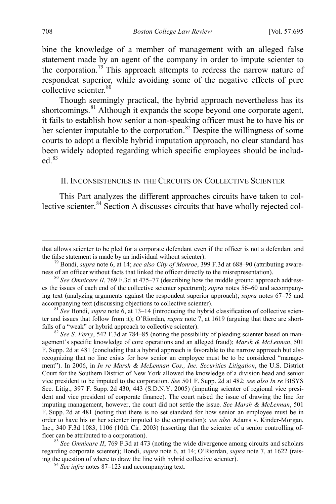bine the knowledge of a member of management with an alleged false statement made by an agent of the company in order to impute scienter to the corporation.[79](#page-14-2) This approach attempts to redress the narrow nature of respondeat superior, while avoiding some of the negative effects of pure collective scienter.<sup>[80](#page-14-3)</sup>

Though seemingly practical, the hybrid approach nevertheless has its shortcomings.<sup>[81](#page-14-4)</sup> Although it expands the scope beyond one corporate agent, it fails to establish how senior a non-speaking officer must be to have his or her scienter imputable to the corporation.<sup>[82](#page-14-5)</sup> Despite the willingness of some courts to adopt a flexible hybrid imputation approach, no clear standard has been widely adopted regarding which specific employees should be included $83$ 

#### <span id="page-14-1"></span><span id="page-14-0"></span>II. INCONSISTENCIES IN THE CIRCUITS ON COLLECTIVE SCIENTER

This Part analyzes the different approaches circuits have taken to collective scienter. [84](#page-14-7) Section A discusses circuits that have wholly rejected col-

<span id="page-14-2"></span><sup>79</sup> Bondi, *supra* not[e 6,](#page-2-8) at 14; *see also City of Monroe*, 399 F.3d at 688–90 (attributing awareness of an officer without facts that linked the officer directly to the misrepresentation).<br><sup>80</sup> *See Omnicare II*, 769 F.3d at 475–77 (describing how the middle ground approach address-

<span id="page-14-4"></span><sup>81</sup> *See* Bondi, *supra* not[e 6,](#page-2-8) at 13–14 (introducing the hybrid classification of collective scienter and issues that follow from it); O'Riordan, *supra* not[e 7,](#page-2-7) at 1619 (arguing that there are shortfalls of a "weak" or hybrid approach to collective scienter).<br><sup>82</sup> *See S. Ferry*, 542 F.3d at 784–85 (noting the possibility of pleading scienter based on man-

<span id="page-14-5"></span>agement's specific knowledge of core operations and an alleged fraud); *Marsh & McLennan*, 501 F. Supp. 2d at 481 (concluding that a hybrid approach is favorable to the narrow approach but also recognizing that no line exists for how senior an employee must be to be considered "management"). In 2006, in *In re Marsh & McLennan Cos., Inc. Securities Litigation*, the U.S. District Court for the Southern District of New York allowed the knowledge of a division head and senior vice president to be imputed to the corporation. *See* 501 F. Supp. 2d at 482; *see also In re* BISYS Sec. Litig., 397 F. Supp. 2d 430, 443 (S.D.N.Y. 2005) (imputing scienter of regional vice president and vice president of corporate finance). The court raised the issue of drawing the line for imputing management, however, the court did not settle the issue. *See Marsh & McLennan*, 501 F. Supp. 2d at 481 (noting that there is no set standard for how senior an employee must be in order to have his or her scienter imputed to the corporation); *see also* Adams v. Kinder-Morgan, Inc., 340 F.3d 1083, 1106 (10th Cir. 2003) (asserting that the scienter of a senior controlling officer can be attributed to a corporation). <sup>83</sup> *See Omnicare II*, 769 F.3d at 473 (noting the wide divergence among circuits and scholars

<span id="page-14-7"></span><span id="page-14-6"></span>regarding corporate scienter); Bondi, *supra* note [6,](#page-2-8) at 14; O'Riordan, *supra* note [7,](#page-2-7) at 1622 (raising the question of where to draw the line with hybrid collective scienter). <sup>84</sup> *See infra* notes [87–](#page-15-0)[123](#page-20-0) and accompanying text.

that allows scienter to be pled for a corporate defendant even if the officer is not a defendant and

<span id="page-14-3"></span>es the issues of each end of the collective scienter spectrum); *supra* notes [56–](#page-10-6)[60](#page-10-5) and accompanying text (analyzing arguments against the respondeat superior approach); *supra* notes [67–](#page-12-6)[75](#page-13-7) and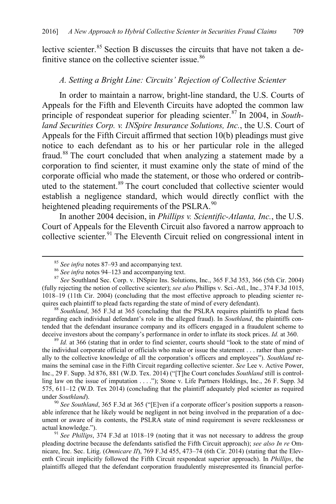lective scienter.<sup>[85](#page-15-1)</sup> Section B discusses the circuits that have not taken a de-finitive stance on the collective scienter issue.<sup>[86](#page-15-2)</sup>

# <span id="page-15-0"></span>*A. Setting a Bright Line: Circuits' Rejection of Collective Scienter*

In order to maintain a narrow, bright-line standard, the U.S. Courts of Appeals for the Fifth and Eleventh Circuits have adopted the common law principle of respondeat superior for pleading scienter. [87](#page-15-3) In 2004, in *Southland Securities Corp. v. INSpire Insurance Solutions, Inc.*, the U.S. Court of Appeals for the Fifth Circuit affirmed that section 10(b) pleadings must give notice to each defendant as to his or her particular role in the alleged fraud.[88](#page-15-4) The court concluded that when analyzing a statement made by a corporation to find scienter, it must examine only the state of mind of the corporate official who made the statement, or those who ordered or contributed to the statement.<sup>89</sup> The court concluded that collective scienter would establish a negligence standard, which would directly conflict with the heightened pleading requirements of the PSLRA.<sup>[90](#page-15-6)</sup>

In another 2004 decision, in *Phillips v. Scientific-Atlanta, Inc.*, the U.S. Court of Appeals for the Eleventh Circuit also favored a narrow approach to collective scienter.<sup>[91](#page-15-7)</sup> The Eleventh Circuit relied on congressional intent in

<span id="page-15-5"></span>the individual corporate official or officials who make or issue the statement . . . rather than generally to the collective knowledge of all the corporation's officers and employees"). *Southland* remains the seminal case in the Fifth Circuit regarding collective scienter. *See* Lee v. Active Power, Inc., 29 F. Supp. 3d 876, 881 (W.D. Tex. 2014) ("[T]he Court concludes *Southland* still is controlling law on the issue of imputation . . . ."); Stone v. Life Partners Holdings, Inc., 26 F. Supp. 3d 575, 611–12 (W.D. Tex 2014) (concluding that the plaintiff adequately pled scienter as required under *Southland*).<br><sup>90</sup> *See Southland*, 365 F.3d at 365 ("[E]ven if a corporate officer's position supports a reason-

<span id="page-15-6"></span>able inference that he likely would be negligent in not being involved in the preparation of a document or aware of its contents, the PSLRA state of mind requirement is severe recklessness or actual knowledge."). <sup>91</sup> *See Phillips*, 374 F.3d at 1018–19 (noting that it was not necessary to address the group

<span id="page-15-7"></span>pleading doctrine because the defendants satisfied the Fifth Circuit approach); *see also In re* Omnicare, Inc. Sec. Litig. (*Omnicare II*), 769 F.3d 455, 473–74 (6th Cir. 2014) (stating that the Eleventh Circuit implicitly followed the Fifth Circuit respondeat superior approach). In *Phillips*, the plaintiffs alleged that the defendant corporation fraudulently misrepresented its financial perfor-

<span id="page-15-3"></span><span id="page-15-2"></span><span id="page-15-1"></span><sup>&</sup>lt;sup>85</sup> *See infra* note[s 87–](#page-15-0)[93](#page-16-0) and accompanying text.<br><sup>86</sup> *See infra* note[s 94–](#page-16-1)[123](#page-20-0) and accompanying text.<br><sup>87</sup> *See* Southland Sec. Corp. v. INSpire Ins. Solutions, Inc., 365 F.3d 353, 366 (5th Cir. 2004) (fully rejecting the notion of collective scienter); *see also* Phillips v. Sci.-Atl., Inc., 374 F.3d 1015, 1018–19 (11th Cir. 2004) (concluding that the most effective approach to pleading scienter re-

<span id="page-15-4"></span><sup>&</sup>lt;sup>88</sup> Southland, 365 F.3d at 365 (concluding that the PSLRA requires plaintiffs to plead facts regarding each individual defendant's role in the alleged fraud). In *Southland*, the plaintiffs contended that the defendant insurance company and its officers engaged in a fraudulent scheme to deceive investors about the company's performance in order to inflate its stock prices. *Id.* at 360. <sup>89</sup> *Id.* at 366 (stating that in order to find scienter, courts should "look to the state of mind of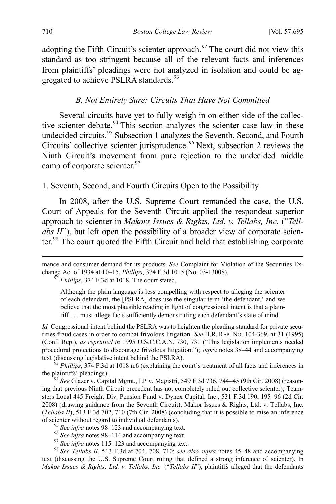adopting the Fifth Circuit's scienter approach. $92$  The court did not view this standard as too stringent because all of the relevant facts and inferences from plaintiffs' pleadings were not analyzed in isolation and could be ag-gregated to achieve PSLRA standards.<sup>[93](#page-16-4)</sup>

#### <span id="page-16-1"></span><span id="page-16-0"></span>*B. Not Entirely Sure: Circuits That Have Not Committed*

Several circuits have yet to fully weigh in on either side of the collec-tive scienter debate.<sup>[94](#page-16-5)</sup> This section analyzes the scienter case law in these undecided circuits. [95](#page-16-6) Subsection 1 analyzes the Seventh, Second, and Fourth Circuits' collective scienter jurisprudence.<sup>[96](#page-16-7)</sup> Next, subsection 2 reviews the Ninth Circuit's movement from pure rejection to the undecided middle camp of corporate scienter.<sup>[97](#page-16-8)</sup>

# 1. Seventh, Second, and Fourth Circuits Open to the Possibility

In 2008, after the U.S. Supreme Court remanded the case, the U.S. Court of Appeals for the Seventh Circuit applied the respondeat superior approach to scienter in *Makors Issues & Rights, Ltd. v. Tellabs, Inc.* ("*Tellabs II*"), but left open the possibility of a broader view of corporate scienter.[98](#page-16-9) The court quoted the Fifth Circuit and held that establishing corporate

Although the plain language is less compelling with respect to alleging the scienter of each defendant, the [PSLRA] does use the singular term 'the defendant,' and we believe that the most plausible reading in light of congressional intent is that a plaintiff . . . must allege facts sufficiently demonstrating each defendant's state of mind.

*Id.* Congressional intent behind the PSLRA was to heighten the pleading standard for private securities fraud cases in order to combat frivolous litigation. *See* H.R. REP. NO. 104-369, at 31 (1995) (Conf. Rep.), *as reprinted in* 1995 U.S.C.C.A.N. 730, 731 ("This legislation implements needed procedural protections to discourage frivolous litigation."); *supra* notes 38–44 and accompanying

<span id="page-16-4"></span>text (discussing legislative intent behind the PSLRA).<br><sup>93</sup> *Phillips*, 374 F.3d at 1018 n.6 (explaining the court's treatment of all facts and inferences in the plaintiffs' pleadings).

<span id="page-16-5"></span><sup>94</sup> See Glazer v. Capital Mgmt., LP v. Magistri, 549 F.3d 736, 744–45 (9th Cir. 2008) (reasoning that previous Ninth Circuit precedent has not completely ruled out collective scienter); Teamsters Local 445 Freight Div. Pension Fund v. Dynex Capital, Inc., 531 F.3d 190, 195–96 (2d Cir. 2008) (drawing guidance from the Seventh Circuit); Makor Issues & Rights, Ltd. v. Tellabs, Inc. (*Tellabs II*), 513 F.3d 702, 710 (7th Cir. 2008) (concluding that it is possible to raise an inference

- 
- 

<span id="page-16-9"></span><span id="page-16-8"></span><span id="page-16-7"></span><span id="page-16-6"></span><sup>95</sup> See infra notes [98–](#page-16-2)[123](#page-20-0) and accompanying text.<br><sup>96</sup> See infra note[s 98–](#page-16-2)[114](#page-19-0) and accompanying text.<br><sup>97</sup> See infra note[s 115](#page-19-1)[–123](#page-20-0) and accompanying text.<br><sup>98</sup> See Tellabs II, 513 F.3d at 704, 708, 710; see also supra note text (discussing the U.S. Supreme Court ruling that defined a strong inference of scienter). In *Makor Issues & Rights, Ltd. v. Tellabs, Inc.* ("*Tellabs II*"), plaintiffs alleged that the defendants

<span id="page-16-3"></span><span id="page-16-2"></span>mance and consumer demand for its products. *See* Complaint for Violation of the Securities Exchange Act of 1934 at 10–15, *Phillips*, 374 F.3d 1015 (No. 03-13008). <sup>92</sup> *Phillips*, 374 F.3d at 1018. The court stated,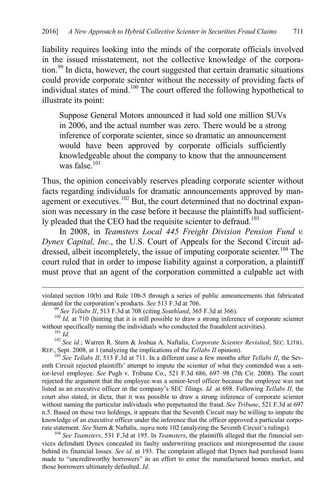liability requires looking into the minds of the corporate officials involved in the issued misstatement, not the collective knowledge of the corpora-tion.<sup>[99](#page-17-1)</sup> In dicta, however, the court suggested that certain dramatic situations could provide corporate scienter without the necessity of providing facts of individual states of mind.[100](#page-17-2) The court offered the following hypothetical to illustrate its point:

Suppose General Motors announced it had sold one million SUVs in 2006, and the actual number was zero. There would be a strong inference of corporate scienter, since so dramatic an announcement would have been approved by corporate officials sufficiently knowledgeable about the company to know that the announcement was false. $101$ 

<span id="page-17-0"></span>Thus, the opinion conceivably reserves pleading corporate scienter without facts regarding individuals for dramatic announcements approved by man-agement or executives.<sup>[102](#page-17-4)</sup> But, the court determined that no doctrinal expansion was necessary in the case before it because the plaintiffs had sufficient-ly pleaded that the CEO had the requisite scienter to defraud.<sup>[103](#page-17-5)</sup>

<span id="page-17-7"></span>In 2008, in *Teamsters Local 445 Freight Division Pension Fund v. Dynex Capital, Inc.*, the U.S. Court of Appeals for the Second Circuit ad-dressed, albeit incompletely, the issue of imputing corporate scienter.<sup>[104](#page-17-6)</sup> The court ruled that in order to impose liability against a corporation, a plaintiff must prove that an agent of the corporation committed a culpable act with

<span id="page-17-6"></span><sup>104</sup> See Teamsters, 531 F.3d at 195. In *Teamsters*, the plaintiffs alleged that the financial services defendant Dynex concealed its faulty underwriting practices and misrepresented the cause behind its financial losses. *See id.* at 193. The complaint alleged that Dynex had purchased loans made to "uncreditworthy borrowers" in an effort to enter the manufactured homes market, and those borrowers ultimately defaulted. *Id.*

violated section 10(b) and Rule 10b-5 through a series of public announcements that fabricated demand for the corporation's products. See 513 F.3d at 706.

<span id="page-17-2"></span><span id="page-17-1"></span><sup>&</sup>lt;sup>99</sup> See Tellabs II, 513 F.3d at 708 (citing *Southland*, 365 F.3d at 366).<br><sup>100</sup> Id. at 710 (hinting that it is still possible to draw a strong inference of corporate scienter without specifically naming the individuals

<span id="page-17-4"></span><span id="page-17-3"></span>without specifically names the individual the individual the individual the individual the *individual*<br><sup>102</sup> *See id.*; Warren R. Stern & Joshua A. Naftalis, *Corporate Scienter Revisited*, SEC. LITIG.<br>REP., Sept. 2008, a

<span id="page-17-5"></span><sup>&</sup>lt;sup>103</sup> See Tellabs II, 513 F.3d at 711. In a different case a few months after *Tellabs II*, the Seventh Circuit rejected plaintiffs' attempt to impute the scienter of what they contended was a senior-level employee. *See* Pugh v. Tribune Co., 521 F.3d 686, 697–98 (7th Cir. 2008). The court rejected the argument that the employee was a senior-level officer because the employee was not listed as an executive officer in the company's SEC filings. *Id.* at 698. Following *Tellabs II*, the court also stated, in dicta, that it was possible to draw a strong inference of corporate scienter without naming the particular individuals who perpetuated the fraud. *See Tribune*, 521 F.3d at 697 n.5. Based on these two holdings, it appears that the Seventh Circuit may be willing to impute the knowledge of an executive officer under the inference that the officer approved a particular corporate statement. See Stern & Naftalis, *supra* note 102 (analyzing the Seventh Circuit's rulings).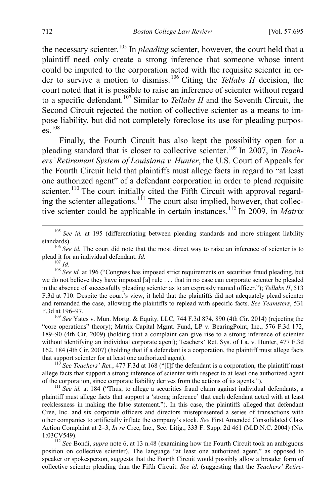the necessary scienter.<sup>[105](#page-18-0)</sup> In *pleading* scienter, however, the court held that a plaintiff need only create a strong inference that someone whose intent could be imputed to the corporation acted with the requisite scienter in order to survive a motion to dismiss. [106](#page-18-1) Citing the *Tellabs II* decision, the court noted that it is possible to raise an inference of scienter without regard to a specific defendant.[107](#page-18-2) Similar to *Tellabs II* and the Seventh Circuit, the Second Circuit rejected the notion of collective scienter as a means to impose liability, but did not completely foreclose its use for pleading purpos- $\overline{e}$   $\overline{e}$   $\overline{e}$   $\overline{e}$   $\overline{e}$   $\overline{e}$   $\overline{e}$   $\overline{e}$   $\overline{e}$   $\overline{e}$   $\overline{e}$   $\overline{e}$   $\overline{e}$   $\overline{e}$   $\overline{e}$   $\overline{e}$   $\overline{e}$   $\overline{e}$   $\overline{e}$   $\overline{e}$   $\overline{e}$   $\overline{e}$   $\overline{e}$   $\overline{e}$   $\overline{$ 

Finally, the Fourth Circuit has also kept the possibility open for a pleading standard that is closer to collective scienter. [109](#page-18-4) In 2007, in *Teachers' Retirement System of Louisiana v. Hunter*, the U.S. Court of Appeals for the Fourth Circuit held that plaintiffs must allege facts in regard to "at least one authorized agent" of a defendant corporation in order to plead requisite scienter.<sup>110</sup> The court initially cited the Fifth Circuit with approval regard-ing the scienter allegations.<sup>[111](#page-18-6)</sup> The court also implied, however, that collective scienter could be applicable in certain instances.[112](#page-18-7) In 2009, in *Matrix* 

<span id="page-18-0"></span><sup>105</sup> See id. at 195 (differentiating between pleading standards and more stringent liability

<span id="page-18-1"></span>standards).<br><sup>106</sup> *See id.* The court did note that the most direct way to raise an inference of scienter is to plead it for an individual defendant. *Id.* 

<span id="page-18-3"></span><span id="page-18-2"></span><sup>107</sup> *Id. Id. Id.* 1196 ("Congress has imposed strict requirements on securities fraud pleading, but we do not believe they have imposed [a] rule . . . that in no case can corporate scienter be pleaded in the absence of successfully pleading scienter as to an expressly named officer."); *Tellabs II*, 513 F.3d at 710. Despite the court's view, it held that the plaintiffs did not adequately plead scienter and remanded the case, allowing the plaintiffs to replead with specific facts. *See Teamsters*, 531 F.3d at 196–97. <sup>109</sup> *See* Yates v. Mun. Mortg. & Equity, LLC, 744 F.3d 874, 890 (4th Cir. 2014) (rejecting the

<span id="page-18-4"></span>"core operations" theory); Matrix Capital Mgmt. Fund, LP v. BearingPoint, Inc., 576 F.3d 172, 189–90 (4th Cir. 2009) (holding that a complaint can give rise to a strong inference of scienter without identifying an individual corporate agent); Teachers' Ret. Sys. of La. v. Hunter, 477 F.3d 162, 184 (4th Cir. 2007) (holding that if a defendant is a corporation, the plaintiff must allege facts

<span id="page-18-5"></span><sup>110</sup> *See Teachers' Ret.*, 477 F.3d at 168 ("[I]f the defendant is a corporation, the plaintiff must allege facts that support a strong inference of scienter with respect to at least one authorized agent of the corporation, since corporate liability derives from the actions of its agents."). <sup>111</sup> *See id.* at 184 ("Thus, to allege a securities fraud claim against individual defendants, a

<span id="page-18-6"></span>plaintiff must allege facts that support a 'strong inference' that each defendant acted with at least recklessness in making the false statement."). In this case, the plaintiffs alleged that defendant Cree, Inc. and six corporate officers and directors misrepresented a series of transactions with other companies to artificially inflate the company's stock. *See* First Amended Consolidated Class Action Complaint at 2–3, *In re* Cree, Inc., Sec. Litig., 333 F. Supp. 2d 461 (M.D.N.C. 2004) (No. 1:03CV549). <sup>112</sup> *See* Bondi, *supra* not[e 6,](#page-2-8) at 13 n.48 (examining how the Fourth Circuit took an ambiguous

<span id="page-18-7"></span>position on collective scienter). The language "at least one authorized agent," as opposed to speaker or spokesperson, suggests that the Fourth Circuit would possibly allow a broader form of collective scienter pleading than the Fifth Circuit. *See id.* (suggesting that the *Teachers' Retire-*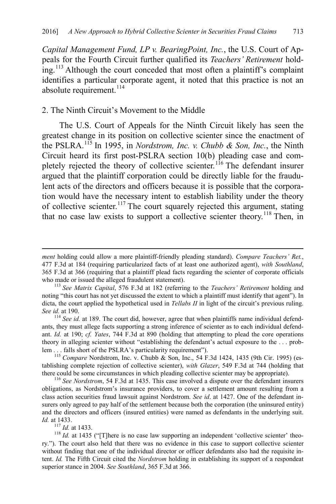*Capital Management Fund, LP v. BearingPoint, Inc.*, the U.S. Court of Appeals for the Fourth Circuit further qualified its *Teachers' Retirement* hold-ing.<sup>[113](#page-19-2)</sup> Although the court conceded that most often a plaintiff's complaint identifies a particular corporate agent, it noted that this practice is not an absolute requirement. $^{114}$  $^{114}$  $^{114}$ 

#### <span id="page-19-0"></span>2. The Ninth Circuit's Movement to the Middle

<span id="page-19-1"></span>The U.S. Court of Appeals for the Ninth Circuit likely has seen the greatest change in its position on collective scienter since the enactment of the PSLRA.[115](#page-19-4) In 1995, in *Nordstrom, Inc. v. Chubb & Son, Inc.*, the Ninth Circuit heard its first post-PSLRA section 10(b) pleading case and com-pletely rejected the theory of collective scienter.<sup>[116](#page-19-5)</sup> The defendant insurer argued that the plaintiff corporation could be directly liable for the fraudulent acts of the directors and officers because it is possible that the corporation would have the necessary intent to establish liability under the theory of collective scienter.[117](#page-19-6) The court squarely rejected this argument, stating that no case law exists to support a collective scienter theory.<sup>[118](#page-19-7)</sup> Then, in

 $\overline{a}$ 

*ment* holding could allow a more plaintiff-friendly pleading standard). *Compare Teachers' Ret.*, 477 F.3d at 184 (requiring particularized facts of at least one authorized agent), *with Southland*, 365 F.3d at 366 (requiring that a plaintiff plead facts regarding the scienter of corporate officials

<span id="page-19-2"></span><sup>&</sup>lt;sup>113</sup> See Matrix Capital, 576 F.3d at 182 (referring to the *Teachers' Retirement* holding and noting "this court has not yet discussed the extent to which a plaintiff must identify that agent"). In dicta, the court applied the hypothetical used in *Tellabs II* in light of the circuit's previous ruling. *See id.* at 190. 114 *See id.* at 189. The court did, however, agree that when plaintiffs name individual defend-

<span id="page-19-3"></span>ants, they must allege facts supporting a strong inference of scienter as to each individual defendant. *Id.* at 190; *cf. Yates*, 744 F.3d at 890 (holding that attempting to plead the core operations theory in alleging scienter without "establishing the defendant's actual exposure to the ... prob-<br>lem ... falls short of the PSLRA's particularity requirement").

<span id="page-19-4"></span><sup>&</sup>lt;sup>115</sup> Compare Nordstrom, Inc. v. Chubb & Son, Inc., 54 F.3d 1424, 1435 (9th Cir. 1995) (establishing complete rejection of collective scienter), *with Glazer*, 549 F.3d at 744 (holding that there could be some circumstances in which pleading collective scienter may be appropriate). <sup>116</sup> *See Nordstrom*, 54 F.3d at 1435. This case involved a dispute over the defendant insurers

<span id="page-19-5"></span>obligations, as Nordstrom's insurance providers, to cover a settlement amount resulting from a class action securities fraud lawsuit against Nordstrom. *See id*. at 1427. One of the defendant insurers only agreed to pay half of the settlement because both the corporation (the uninsured entity) and the directors and officers (insured entities) were named as defendants in the underlying suit. *Id.* at 1433.<br><sup>117</sup> *Id.* at 1433.

<span id="page-19-7"></span><span id="page-19-6"></span><sup>&</sup>lt;sup>118</sup> *Id.* at 1435 ("There is no case law supporting an independent 'collective scienter' theory."). The court also held that there was no evidence in this case to support collective scienter without finding that one of the individual director or officer defendants also had the requisite intent. *Id.* The Fifth Circuit cited the *Nordstrom* holding in establishing its support of a respondeat superior stance in 2004. *See Southland*, 365 F.3d at 366.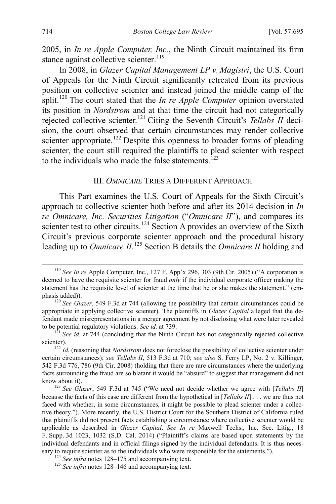2005, in *In re Apple Computer, Inc.*, the Ninth Circuit maintained its firm stance against collective scienter.<sup>[119](#page-20-1)</sup>

In 2008, in *Glazer Capital Management LP v. Magistri*, the U.S. Court of Appeals for the Ninth Circuit significantly retreated from its previous position on collective scienter and instead joined the middle camp of the split. [120](#page-20-2) The court stated that the *In re Apple Computer* opinion overstated its position in *Nordstrom* and at that time the circuit had not categorically rejected collective scienter.[121](#page-20-3) Citing the Seventh Circuit's *Tellabs II* decision, the court observed that certain circumstances may render collective scienter appropriate.<sup>[122](#page-20-4)</sup> Despite this openness to broader forms of pleading scienter, the court still required the plaintiffs to plead scienter with respect to the individuals who made the false statements.<sup> $123$ </sup>

#### <span id="page-20-0"></span>III. *OMNICARE* TRIES A DIFFERENT APPROACH

This Part examines the U.S. Court of Appeals for the Sixth Circuit's approach to collective scienter both before and after its 2014 decision in *In re Omnicare, Inc. Securities Litigation* ("*Omnicare II*"), and compares its scienter test to other circuits.<sup>[124](#page-20-6)</sup> Section A provides an overview of the Sixth Circuit's previous corporate scienter approach and the procedural history leading up to *Omnicare II*. [125](#page-20-7) Section B details the *Omnicare II* holding and

<span id="page-20-1"></span> <sup>119</sup> *See In re* Apple Computer, Inc., 127 F. App'x 296, 303 (9th Cir. 2005) ("A corporation is deemed to have the requisite scienter for fraud *only* if the individual corporate officer making the statement has the requisite level of scienter at the time that he or she makes the statement." (emphasis added)).<br><sup>120</sup> *See Glazer*, 549 F.3d at 744 (allowing the possibility that certain circumstances could be

<span id="page-20-2"></span>appropriate in applying collective scienter). The plaintiffs in *Glazer Capital* alleged that the defendant made misrepresentations in a merger agreement by not disclosing what were later revealed to be potential regulatory violations. *See id.* at 739.<br><sup>121</sup> *See id.* at 744 (concluding that the Ninth Circuit has not categorically rejected collective

<span id="page-20-3"></span>scienter).<br><sup>122</sup> *Id.* (reasoning that *Nordstrom* does not foreclose the possibility of collective scienter under

<span id="page-20-4"></span>certain circumstances); *see Tellabs II*, 513 F.3d at 710; *see also* S. Ferry LP, No. 2 v. Killinger, 542 F.3d 776, 786 (9th Cir. 2008) (holding that there are rare circumstances where the underlying facts surrounding the fraud are so blatant it would be "absurd" to suggest that management did not know about it). <sup>123</sup> *See Glazer*, 549 F.3d at 745 ("We need not decide whether we agree with [*Tellabs II*]

<span id="page-20-5"></span>because the facts of this case are different from the hypothetical in [*Tellabs II*] . . . we are thus not faced with whether, in some circumstances, it might be possible to plead scienter under a collective theory."). More recently, the U.S. District Court for the Southern District of California ruled that plaintiffs did not present facts establishing a circumstance where collective scienter would be applicable as described in *Glazer Capital*. *See In re* Maxwell Techs., Inc. Sec. Litig., 18 F. Supp. 3d 1023, 1032 (S.D. Cal. 2014) ("Plaintiff's claims are based upon statements by the individual defendants and in official filings signed by the individual defendants. It is thus necessary to require scienter as to the individuals who were responsible for the statements."). <sup>124</sup> *See infra* notes [128–](#page-21-0)[146](#page-23-0) and accompanying text. <sup>125</sup> *See infra* notes 128–146 and accompanying text.

<span id="page-20-7"></span><span id="page-20-6"></span>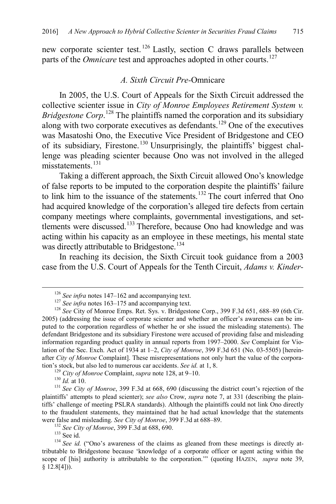new corporate scienter test.<sup>[126](#page-21-1)</sup> Lastly, section C draws parallels between parts of the *Omnicare* test and approaches adopted in other courts.<sup>[127](#page-21-2)</sup>

#### <span id="page-21-0"></span>*A. Sixth Circuit Pre-*Omnicare

In 2005, the U.S. Court of Appeals for the Sixth Circuit addressed the collective scienter issue in *City of Monroe Employees Retirement System v. Bridgestone Corp*.<sup>[128](#page-21-3)</sup> The plaintiffs named the corporation and its subsidiary along with two corporate executives as defendants.<sup>[129](#page-21-4)</sup> One of the executives was Masatoshi Ono, the Executive Vice President of Bridgestone and CEO of its subsidiary, Firestone.[130](#page-21-5) Unsurprisingly, the plaintiffs' biggest challenge was pleading scienter because Ono was not involved in the alleged misstatements<sup>[131](#page-21-6)</sup>

Taking a different approach, the Sixth Circuit allowed Ono's knowledge of false reports to be imputed to the corporation despite the plaintiffs' failure to link him to the issuance of the statements.<sup>[132](#page-21-7)</sup> The court inferred that Ono had acquired knowledge of the corporation's alleged tire defects from certain company meetings where complaints, governmental investigations, and set-tlements were discussed.<sup>[133](#page-21-8)</sup> Therefore, because Ono had knowledge and was acting within his capacity as an employee in these meetings, his mental state was directly attributable to Bridgestone.<sup>[134](#page-21-9)</sup>

In reaching its decision, the Sixth Circuit took guidance from a 2003 case from the U.S. Court of Appeals for the Tenth Circuit, *Adams v. Kinder-*

<span id="page-21-10"></span>

<span id="page-21-3"></span><span id="page-21-2"></span><span id="page-21-1"></span><sup>&</sup>lt;sup>126</sup> *See infra* notes [147–](#page-23-1)[162](#page-25-0) and accompanying text.<br><sup>127</sup> *See infra* notes [163–](#page-25-1)[175](#page-27-0) and accompanying text.<br><sup>128</sup> *See* City of Monroe Emps. Ret. Sys. v. Bridgestone Corp., 399 F.3d 651, 688–89 (6th Cir. 2005) (addressing the issue of corporate scienter and whether an officer's awareness can be imputed to the corporation regardless of whether he or she issued the misleading statements). The defendant Bridgestone and its subsidiary Firestone were accused of providing false and misleading information regarding product quality in annual reports from 1997–2000. *See* Complaint for Violation of the Sec. Exch. Act of 1934 at 1–2, *City of Monroe*, 399 F.3d 651 (No. 03-5505) [hereinafter *City of Monroe* Complaint]. These misrepresentations not only hurt the value of the corporation's stock, but also led to numerous car accidents. *See id.* at 1, 8.<br><sup>129</sup> *City of Monroe* Complaint, *supra* not[e 128,](#page-21-0) at 9–10.<br><sup>130</sup> *Id.* at 10.<br><sup>131</sup> *See City of Monroe*, 399 F.3d at 668, 690 (discussing the dis

<span id="page-21-6"></span><span id="page-21-5"></span><span id="page-21-4"></span>plaintiffs' attempts to plead scienter); *see also* Crow, *supra* note [7,](#page-2-7) at 331 (describing the plaintiffs' challenge of meeting PSLRA standards). Although the plaintiffs could not link Ono directly to the fraudulent statements, they maintained that he had actual knowledge that the statements were false and misleading. See City of Monroe, 399 F.3d at  $688-89$ .

<span id="page-21-9"></span><span id="page-21-8"></span><span id="page-21-7"></span><sup>&</sup>lt;sup>132</sup> See City of Monroe, 399 F.3d at 688, 690.<br><sup>133</sup> See id. ("Ono's awareness of the claims as gleaned from these meetings is directly at-<br><sup>134</sup> See id. ("Ono's awareness of the claims as gleaned from these meetings is tributable to Bridgestone because 'knowledge of a corporate officer or agent acting within the scope of [his] authority is attributable to the corporation.'" (quoting HAZEN, *supra* note [39,](#page-7-6)  $§ 12.8[4])$ .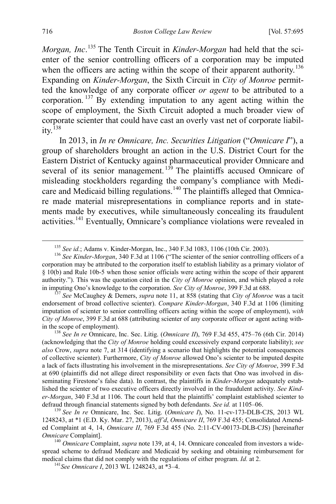<span id="page-22-8"></span>*Morgan, Inc*. [135](#page-22-1) The Tenth Circuit in *Kinder-Morgan* had held that the scienter of the senior controlling officers of a corporation may be imputed when the officers are acting within the scope of their apparent authority.<sup>[136](#page-22-2)</sup> Expanding on *Kinder-Morgan*, the Sixth Circuit in *City of Monroe* permitted the knowledge of any corporate officer *or agent* to be attributed to a corporation. [137](#page-22-3) By extending imputation to any agent acting within the scope of employment, the Sixth Circuit adopted a much broader view of corporate scienter that could have cast an overly vast net of corporate liabil- $itv<sup>138</sup>$  $itv<sup>138</sup>$  $itv<sup>138</sup>$ 

<span id="page-22-9"></span><span id="page-22-0"></span>In 2013, in *In re Omnicare, Inc. Securities Litigation* ("*Omnicare I*"), a group of shareholders brought an action in the U.S. District Court for the Eastern District of Kentucky against pharmaceutical provider Omnicare and several of its senior management.<sup>[139](#page-22-5)</sup> The plaintiffs accused Omnicare of misleading stockholders regarding the company's compliance with Medi-care and Medicaid billing regulations.<sup>[140](#page-22-6)</sup> The plaintiffs alleged that Omnicare made material misrepresentations in compliance reports and in statements made by executives, while simultaneously concealing its fraudulent activities.[141](#page-22-7) Eventually, Omnicare's compliance violations were revealed in

<span id="page-22-3"></span>endorsement of broad collective scienter). *Compare Kinder-Morgan*, 340 F.3d at 1106 (limiting imputation of scienter to senior controlling officers acting within the scope of employment), *with City of Monroe*, 399 F.3d at 688 (attributing scienter of any corporate officer or agent acting within the scope of employment). 138 *See In re* Omnicare, Inc. Sec. Litig. (*Omnicare II*), 769 F.3d 455, 475–76 (6th Cir. 2014)

<span id="page-22-4"></span>(acknowledging that the *City of Monroe* holding could excessively expand corporate liability); *see also* Crow, *supra* note [7,](#page-2-7) at 314 (identifying a scenario that highlights the potential consequences of collective scienter). Furthermore, *City of Monroe* allowed Ono's scienter to be imputed despite a lack of facts illustrating his involvement in the misrepresentations. *See City of Monroe*, 399 F.3d at 690 (plaintiffs did not allege direct responsibility or even facts that Ono was involved in disseminating Firestone's false data). In contrast, the plaintiffs in *Kinder-Morgan* adequately established the scienter of two executive officers directly involved in the fraudulent activity. *See Kinder-Morgan*, 340 F.3d at 1106. The court held that the plaintiffs' complaint established scienter to defraud through financial statements signed by both defendants. *See id.* at 1105–06.

<span id="page-22-5"></span><sup>139</sup> See In re Omnicare, Inc. Sec. Litig. (*Omnicare I*), No. 11-cv-173-DLB-CJS, 2013 WL 1248243, at \*1 (E.D. Ky. Mar. 27, 2013), *aff'd*, *Omnicare II*, 769 F.3d 455; Consolidated Amended Complaint at 4, 14, *Omnicare II*, 769 F.3d 455 (No. 2:11-CV-00173-DLB-CJS) [hereinafter *Omnicare* Complaint].<br><sup>140</sup> *Omnicare* Complaint, *supra* note [139,](#page-22-0) at 4, 14. Omnicare concealed from investors a wide-

<span id="page-22-7"></span><span id="page-22-6"></span>spread scheme to defraud Medicare and Medicaid by seeking and obtaining reimbursement for medical claims that did not comply with the regulations of either program. *Id.* at 2. <sup>141</sup>*See Omnicare I*, 2013 WL 1248243, at \*3–4.

<sup>&</sup>lt;sup>135</sup> *See id.*; Adams v. Kinder-Morgan, Inc., 340 F.3d 1083, 1106 (10th Cir. 2003). <sup>136</sup> *See Kinder-Morgan*, 340 F.3d at 1106 ("The scienter of the senior controlling officers of a

<span id="page-22-2"></span><span id="page-22-1"></span>corporation may be attributed to the corporation itself to establish liability as a primary violator of § 10(b) and Rule 10b-5 when those senior officials were acting within the scope of their apparent authority."). This was the quotation cited in the *City of Monroe* opinion, and which played a role in imputing Ono's knowledge to the corporation. *See City of Monroe*, 399 F.3d at 688. <sup>137</sup> *See* McCaughey & Demers, *supra* note [11,](#page-3-8) at 858 (stating that *City of Monroe* was a tacit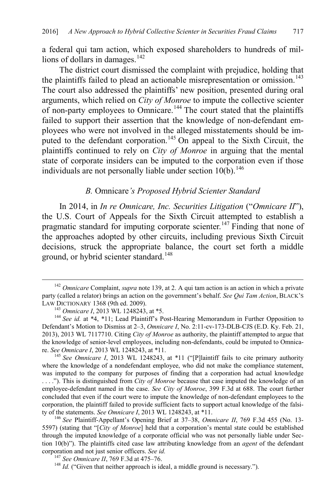a federal qui tam action, which exposed shareholders to hundreds of mil-lions of dollars in damages.<sup>[142](#page-23-2)</sup>

The district court dismissed the complaint with prejudice, holding that the plaintiffs failed to plead an actionable misrepresentation or omission.<sup>[143](#page-23-3)</sup> The court also addressed the plaintiffs' new position, presented during oral arguments, which relied on *City of Monroe* to impute the collective scienter of non-party employees to Omnicare.[144](#page-23-4) The court stated that the plaintiffs failed to support their assertion that the knowledge of non-defendant employees who were not involved in the alleged misstatements should be im-puted to the defendant corporation.<sup>[145](#page-23-5)</sup> On appeal to the Sixth Circuit, the plaintiffs continued to rely on *City of Monroe* in arguing that the mental state of corporate insiders can be imputed to the corporation even if those individuals are not personally liable under section  $10(b)$ .<sup>[146](#page-23-6)</sup>

# <span id="page-23-1"></span><span id="page-23-0"></span>*B.* Omnicare*'s Proposed Hybrid Scienter Standard*

In 2014, in *In re Omnicare, Inc. Securities Litigation* ("*Omnicare II*"), the U.S. Court of Appeals for the Sixth Circuit attempted to establish a pragmatic standard for imputing corporate scienter.<sup>[147](#page-23-7)</sup> Finding that none of the approaches adopted by other circuits, including previous Sixth Circuit decisions, struck the appropriate balance, the court set forth a middle ground, or hybrid scienter standard. [148](#page-23-8)

<span id="page-23-2"></span> <sup>142</sup> *Omnicare* Complaint, *supra* note [139,](#page-22-0) at 2. A qui tam action is an action in which a private party (called a relator) brings an action on the government's behalf. *See Qui Tam Action*, BLACK'S

<span id="page-23-4"></span><span id="page-23-3"></span><sup>&</sup>lt;sup>143</sup> *Omnicare I*, 2013 WL 1248243, at \*5.<br><sup>144</sup> *See id.* at \*4, \*11; Lead Plaintiff's Post-Hearing Memorandum in Further Opposition to Defendant's Motion to Dismiss at 2–3, *Omnicare I*, No. 2:11-cv-173-DLB-CJS (E.D. Ky. Feb. 21, 2013), 2013 WL 7117710. Citing *City of Monroe* as authority, the plaintiff attempted to argue that the knowledge of senior-level employees, including non-defendants, could be imputed to Omnica-<br>re. See Omnicare I, 2013 WL 1248243, at  $*11$ .

<span id="page-23-5"></span><sup>&</sup>lt;sup>145</sup> *See Omnicare I*, 2013 WL 1248243, at \*11 ("[P]laintiff fails to cite primary authority where the knowledge of a nondefendant employee, who did not make the compliance statement, was imputed to the company for purposes of finding that a corporation had actual knowledge . . . ."). This is distinguished from *City of Monroe* because that case imputed the knowledge of an employee-defendant named in the case. *See City of Monroe*, 399 F.3d at 688. The court further concluded that even if the court were to impute the knowledge of non-defendant employees to the corporation, the plaintiff failed to provide sufficient facts to support actual knowledge of the falsity of the statements. *See Omnicare I*, 2013 WL 1248243, at \*11.<br><sup>146</sup> *See* Plaintiff-Appellant's Opening Brief at 37–38, *Omnicare II*, 769 F.3d 455 (No. 13-

<span id="page-23-6"></span><sup>5597) (</sup>stating that "[*City of Monroe*] held that a corporation's mental state could be established through the imputed knowledge of a corporate official who was not personally liable under Section 10(b)"). The plaintiffs cited case law attributing knowledge from an *agent* of the defendant corporation and not just senior officers. *See id.* <sup>147</sup> *See Omnicare II*, 769 F.3d at 475–76. <sup>148</sup> *Id.* ("Given that neither approach is ideal, a middle ground is necessary.").

<span id="page-23-8"></span><span id="page-23-7"></span>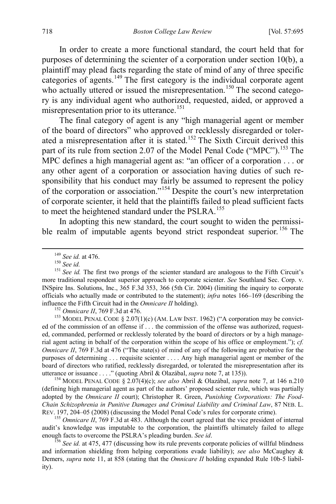In order to create a more functional standard, the court held that for purposes of determining the scienter of a corporation under section 10(b), a plaintiff may plead facts regarding the state of mind of any of three specific categories of agents.<sup>[149](#page-24-0)</sup> The first category is the individual corporate agent who actually uttered or issued the misrepresentation.<sup>[150](#page-24-1)</sup> The second category is any individual agent who authorized, requested, aided, or approved a misrepresentation prior to its utterance.<sup>151</sup>

<span id="page-24-8"></span>The final category of agent is any "high managerial agent or member of the board of directors" who approved or recklessly disregarded or tolerated a misrepresentation after it is stated.[152](#page-24-3) The Sixth Circuit derived this part of its rule from section 2.07 of the Model Penal Code ("MPC").<sup>[153](#page-24-4)</sup> The MPC defines a high managerial agent as: "an officer of a corporation . . . or any other agent of a corporation or association having duties of such responsibility that his conduct may fairly be assumed to represent the policy of the corporation or association."[154](#page-24-5) Despite the court's new interpretation of corporate scienter, it held that the plaintiffs failed to plead sufficient facts to meet the heightened standard under the PSLRA.<sup>[155](#page-24-6)</sup>

<span id="page-24-9"></span>In adopting this new standard, the court sought to widen the permissi-ble realm of imputable agents beyond strict respondeat superior.<sup>[156](#page-24-7)</sup> The

<span id="page-24-4"></span><span id="page-24-3"></span><sup>152</sup> *Omnicare II*, 769 F.3d at 476.<br><sup>153</sup> MODEL PENAL CODE § 2.07(1)(c) (AM. LAW INST. 1962) ("A corporation may be convicted of the commission of an offense if . . . the commission of the offense was authorized, requested, commanded, performed or recklessly tolerated by the board of directors or by a high managerial agent acting in behalf of the corporation within the scope of his office or employment."); *cf. Omnicare II*, 769 F.3d at 476 ("The state(s) of mind of any of the following are probative for the purposes of determining . . . requisite scienter . . . . Any high managerial agent or member of the board of directors who ratified, recklessly disregarded, or tolerated the misrepresentation after its utterance or issuance . . . ." (quoting Abril & Olazábal, *supra* not[e 7,](#page-2-7) at 135)). 154 MODEL PENAL CODE § 2.07(4)(c); *see also* Abril & Olazábal, *supra* note [7,](#page-2-7) at 146 n.210

<span id="page-24-5"></span>(defining high managerial agent as part of the authors' proposed scienter rule, which was partially adopted by the *Omnicare II* court); Christopher R. Green, *Punishing Corporations: The Food-Chain Schizophrenia in Punitive Damages and Criminal Liability and Criminal Law*, 87 NEB. L. REV. 197, 204–05 (2008) (discussing the Model Penal Code's rules for corporate crime). <sup>155</sup> *Omnicare II*, 769 F.3d at 483. Although the court agreed that the vice president of internal

<span id="page-24-6"></span>audit's knowledge was imputable to the corporation, the plaintiffs ultimately failed to allege enough facts to overcome the PSLRA's pleading burden. *See id.* 156 *See id.* 156 *See id.* at 475, 477 (discussing how its rule prevents corporate policies of willful blindness

<span id="page-24-7"></span>and information shielding from helping corporations evade liability); *see also* McCaughey & Demers, *supra* note [11,](#page-3-8) at 858 (stating that the *Omnicare II* holding expanded Rule 10b-5 liability).

<span id="page-24-2"></span><span id="page-24-1"></span><span id="page-24-0"></span><sup>&</sup>lt;sup>149</sup> *See id.* at 476.<br><sup>150</sup> *See id.*<br><sup>151</sup> *See id.* The first two prongs of the scienter standard are analogous to the Fifth Circuit's more traditional respondeat superior approach to corporate scienter. *See* Southland Sec. Corp. v. INSpire Ins. Solutions, Inc., 365 F.3d 353, 366 (5th Cir. 2004) (limiting the inquiry to corporate officials who actually made or contributed to the statement); *infra* notes [166](#page-26-0)[–169](#page-26-1) (describing the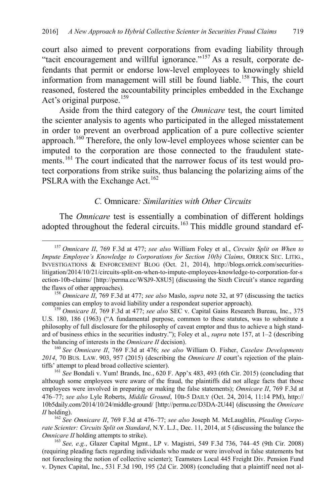<span id="page-25-2"></span>court also aimed to prevent corporations from evading liability through "tacit encouragement and willful ignorance."[157](#page-25-3) As a result, corporate defendants that permit or endorse low-level employees to knowingly shield information from management will still be found liable.<sup>[158](#page-25-4)</sup> This, the court reasoned, fostered the accountability principles embedded in the Exchange Act's original purpose.<sup>[159](#page-25-5)</sup>

Aside from the third category of the *Omnicare* test, the court limited the scienter analysis to agents who participated in the alleged misstatement in order to prevent an overbroad application of a pure collective scienter approach.<sup>[160](#page-25-6)</sup> Therefore, the only low-level employees whose scienter can be imputed to the corporation are those connected to the fraudulent statements.<sup>161</sup> The court indicated that the narrower focus of its test would protect corporations from strike suits, thus balancing the polarizing aims of the PSLRA with the Exchange Act.<sup>[162](#page-25-8)</sup>

#### <span id="page-25-1"></span><span id="page-25-0"></span>*C.* Omnicare*: Similarities with Other Circuits*

The *Omnicare* test is essentially a combination of different holdings adopted throughout the federal circuits.<sup>[163](#page-25-9)</sup> This middle ground standard ef-

<span id="page-25-6"></span>*2014*, 70 BUS. LAW. 903, 957 (2015) (describing the *Omnicare II* court's rejection of the plaintiffs' attempt to plead broad collective scienter). 161 *See* Bondali v. Yum! Brands, Inc., 620 F. App'x 483, 493 (6th Cir. 2015) (concluding that

<span id="page-25-7"></span>although some employees were aware of the fraud, the plaintiffs did not allege facts that those employees were involved in preparing or making the false statements); *Omnicare II*, 769 F.3d at 476–77; *see also* Lyle Roberts, *Middle Ground*, 10B-5 DAILY (Oct. 24, 2014, 11:14 PM), http:// 10b5daily.com/2014/10/24/middle-ground/ [http://perma.cc/D3DA-2U44] (discussing the *Omnicare* 

<span id="page-25-8"></span>*II* holding).<br><sup>162</sup> *See Omnicare II*, 769 F.3d at 476–77; *see also* Joseph M. McLaughlin, *Pleading Corporate Scienter: Circuits Split on Standard*, N.Y. L.J., Dec. 11, 2014, at 5 (discussing the balance the *Omnicare II* holding attempts to strike).

<span id="page-25-9"></span><sup>163</sup> *See, e.g.*, Glazer Capital Mgmt., LP v. Magistri, 549 F.3d 736, 744–45 (9th Cir. 2008) (requiring pleading facts regarding individuals who made or were involved in false statements but not foreclosing the notion of collective scienter); Teamsters Local 445 Freight Div. Pension Fund v. Dynex Capital, Inc., 531 F.3d 190, 195 (2d Cir. 2008) (concluding that a plaintiff need not al-

<span id="page-25-3"></span> <sup>157</sup> *Omnicare II*, 769 F.3d at 477; *see also* William Foley et al., *Circuits Split on When to Impute Employee's Knowledge to Corporations for Section 10(b) Claims*, ORRICK SEC. LITIG., INVESTIGATIONS & ENFORCEMENT BLOG (Oct. 21, 2014), http://blogs.orrick.com/securitieslitigation/2014/10/21/circuits-split-on-when-to-impute-employees-knowledge-to-corporation-for-s ection-10b-claims/ [http://perma.cc/WSJ9-X8U5] (discussing the Sixth Circuit's stance regarding the flaws of other approaches).

<span id="page-25-4"></span><sup>&</sup>lt;sup>158</sup> *Omnicare II*, 769 F.3d at 477; *see also* Maslo, *supra* note [32,](#page-5-9) at 97 (discussing the tactics companies can employ to avoid liability under a respondeat superior approach).

<span id="page-25-5"></span><sup>&</sup>lt;sup>159</sup> *Omnicare II*, 769 F.3d at 477; *see also* SEC v. Capital Gains Research Bureau, Inc., 375 U.S. 180, 186 (1963) ("A fundamental purpose, common to these statutes, was to substitute a philosophy of full disclosure for the philosophy of caveat emptor and thus to achieve a high standard of business ethics in the securities industry."); Foley et al., *supra* note [157,](#page-25-2) at 1–2 (describing the balancing of interests in the *Omnicare II* decision). <sup>160</sup> *See Omnicare II*, 769 F.3d at 476; *see also* William O. Fisher, *Caselaw Developments*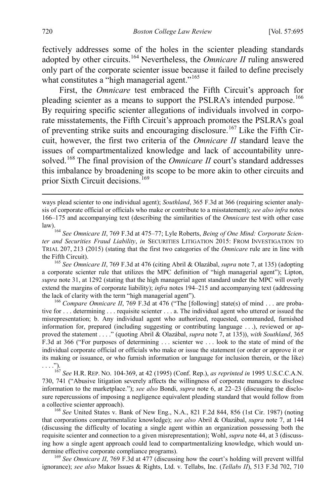fectively addresses some of the holes in the scienter pleading standards adopted by other circuits.[164](#page-26-2) Nevertheless, the *Omnicare II* ruling answered only part of the corporate scienter issue because it failed to define precisely what constitutes a "high managerial agent."<sup>[165](#page-26-3)</sup>

<span id="page-26-0"></span>First, the *Omnicare* test embraced the Fifth Circuit's approach for pleading scienter as a means to support the PSLRA's intended purpose.<sup>[166](#page-26-4)</sup> By requiring specific scienter allegations of individuals involved in corporate misstatements, the Fifth Circuit's approach promotes the PSLRA's goal of preventing strike suits and encouraging disclosure.<sup>[167](#page-26-5)</sup> Like the Fifth Circuit, however, the first two criteria of the *Omnicare II* standard leave the issues of compartmentalized knowledge and lack of accountability unre-solved.<sup>[168](#page-26-6)</sup> The final provision of the *Omnicare II* court's standard addresses this imbalance by broadening its scope to be more akin to other circuits and prior Sixth Circuit decisions.<sup>[169](#page-26-7)</sup>

<span id="page-26-3"></span><sup>165</sup> *See Omnicare II*, 769 F.3d at 476 (citing Abril & Olazábal, *supra* note [7,](#page-2-7) at 135) (adopting a corporate scienter rule that utilizes the MPC definition of "high managerial agent"); Lipton, *supra* not[e 31,](#page-5-10) at 1292 (stating that the high managerial agent standard under the MPC will overly extend the margins of corporate liability); *infra* note[s 194](#page-30-0)[–215](#page-33-0) and accompanying text (addressing the lack of clarity with the term "high managerial agent").<br><sup>166</sup> *Compare Omnicare II*, 769 F.3d at 476 ("The [following] state(s) of mind . . . are proba-

<span id="page-26-4"></span>tive for . . . determining . . . requisite scienter . . . a. The individual agent who uttered or issued the misrepresentation; b. Any individual agent who authorized, requested, commanded, furnished information for, prepared (including suggesting or contributing language . . .), reviewed or approved the statement . . . ." (quoting Abril & Olazábal, *supra* note [7,](#page-2-7) at 135)), *with Southland*, 365 F.3d at 366 ("For purposes of determining . . . scienter we . . . look to the state of mind of the individual corporate official or officials who make or issue the statement (or order or approve it or its making or issuance, or who furnish information or language for inclusion therein, or the like) . . . .").

<span id="page-26-5"></span><sup>167</sup> *See* H.R. REP. NO. 104-369, at 42 (1995) (Conf. Rep.), *as reprinted in* 1995 U.S.C.C.A.N. 730, 741 ("Abusive litigation severely affects the willingness of corporate managers to disclose information to the marketplace."); *see also* Bondi, *supra* note [6,](#page-2-8) at 22–23 (discussing the disclosure repercussions of imposing a negligence equivalent pleading standard that would follow from a collective scienter approach). <sup>168</sup> *See* United States v. Bank of New Eng., N.A., 821 F.2d 844, 856 (1st Cir. 1987) (noting

<span id="page-26-6"></span>that corporations compartmentalize knowledge); *see also* Abril & Olazábal, *supra* note [7,](#page-2-7) at 144 (discussing the difficulty of locating a single agent within an organization possessing both the requisite scienter and connection to a given misrepresentation); Wohl, *supra* not[e 44,](#page-8-0) at 3 (discussing how a single agent approach could lead to compartmentalizing knowledge, which would undermine effective corporate compliance programs). <sup>169</sup> *See Omnicare II*, 769 F.3d at 477 (discussing how the court's holding will prevent willful

<span id="page-26-7"></span>ignorance); *see also* Makor Issues & Rights, Ltd. v. Tellabs, Inc. (*Tellabs II*), 513 F.3d 702, 710

<span id="page-26-1"></span>ways plead scienter to one individual agent); *Southland*, 365 F.3d at 366 (requiring scienter analysis of corporate official or officials who make or contribute to a misstatement); *see also infra* notes [166–](#page-26-0)[175](#page-27-0) and accompanying text (describing the similarities of the *Omnicare* test with other case

<span id="page-26-2"></span>law).<br><sup>164</sup> *See Omnicare II*, 769 F.3d at 475–77; Lyle Roberts, *Being of One Mind: Corporate Scienter and Securities Fraud Liability*, *in* SECURITIES LITIGATION 2015: FROM INVESTIGATION TO TRIAL 207, 213 (2015) (stating that the first two categories of the *Omnicare* rule are in line with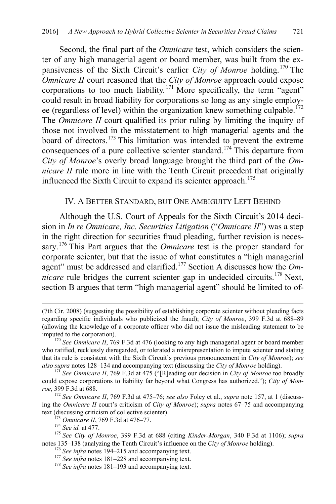Second, the final part of the *Omnicare* test, which considers the scienter of any high managerial agent or board member, was built from the expansiveness of the Sixth Circuit's earlier *City of Monroe* holding.<sup>[170](#page-27-1)</sup> The *Omnicare II* court reasoned that the *City of Monroe* approach could expose corporations to too much liability.<sup>[171](#page-27-2)</sup> More specifically, the term "agent" could result in broad liability for corporations so long as any single employee (regardless of level) within the organization knew something culpable.<sup> $172$ </sup> The *Omnicare II* court qualified its prior ruling by limiting the inquiry of those not involved in the misstatement to high managerial agents and the board of directors.<sup>[173](#page-27-4)</sup> This limitation was intended to prevent the extreme consequences of a pure collective scienter standard.[174](#page-27-5) This departure from *City of Monroe*'s overly broad language brought the third part of the *Omnicare II* rule more in line with the Tenth Circuit precedent that originally influenced the Sixth Circuit to expand its scienter approach.<sup>[175](#page-27-6)</sup>

# <span id="page-27-0"></span>IV. A BETTER STANDARD, BUT ONE AMBIGUITY LEFT BEHIND

Although the U.S. Court of Appeals for the Sixth Circuit's 2014 decision in *In re Omnicare, Inc. Securities Litigation* ("*Omnicare II*") was a step in the right direction for securities fraud pleading, further revision is necessary. [176](#page-27-7) This Part argues that the *Omnicare* test is the proper standard for corporate scienter, but that the issue of what constitutes a "high managerial agent" must be addressed and clarified.[177](#page-27-8) Section A discusses how the *Omnicare* rule bridges the current scienter gap in undecided circuits.<sup>[178](#page-27-9)</sup> Next, section B argues that term "high managerial agent" should be limited to of-

 <sup>(7</sup>th Cir. 2008) (suggesting the possibility of establishing corporate scienter without pleading facts regarding specific individuals who publicized the fraud); *City of Monroe*, 399 F.3d at 688–89 (allowing the knowledge of a corporate officer who did not issue the misleading statement to be imputed to the corporation). <sup>170</sup> *See Omnicare II*, 769 F.3d at 476 (looking to any high managerial agent or board member

<span id="page-27-1"></span>who ratified, recklessly disregarded, or tolerated a misrepresentation to impute scienter and stating that its rule is consistent with the Sixth Circuit's previous pronouncement in *City of Monroe*); *see also supra* notes 128–134 and accompanying text (discussing the *City of Monroe* holding). 171 *See Omnicare II*, 769 F.3d at 475 ("[R]eading our decision in *City of Monroe* too broadly

<span id="page-27-2"></span>could expose corporations to liability far beyond what Congress has authorized."); *City of Monroe*, 399 F.3d at 688.

<span id="page-27-3"></span><sup>172</sup> *See Omnicare II*, 769 F.3d at 475–76; *see also* Foley et al., *supra* note [157,](#page-25-2) at 1 (discussing the *Omnicare II* court's criticism of *City of Monroe*); *supra* notes [67–](#page-12-6)[75](#page-13-7) and accompanying text (discussing criticism of collective scienter).<br><sup>173</sup> *Omnicare II*, 769 F.3d at 476–77.<br><sup>174</sup> *See id.* at 477.<br><sup>175</sup> *See City of Monroe*, 399 F.3d at 688 (citing *Kinder-Morgan*, 340 F.3d at 1106); *supra* 

<span id="page-27-9"></span><span id="page-27-8"></span><span id="page-27-7"></span><span id="page-27-6"></span><span id="page-27-5"></span><span id="page-27-4"></span>notes 135–138 (analyzing the Tenth Circuit's influence on the City of Monroe holding).<br>
<sup>[176](#page-22-8)</sup> See infra notes [194–](#page-30-0)[215](#page-33-0) and accompanying text.<br>
<sup>177</sup> See infra notes [181–](#page-28-0)[228](#page-35-0) and accompanying text.<br>
<sup>178</sup> See infra notes 181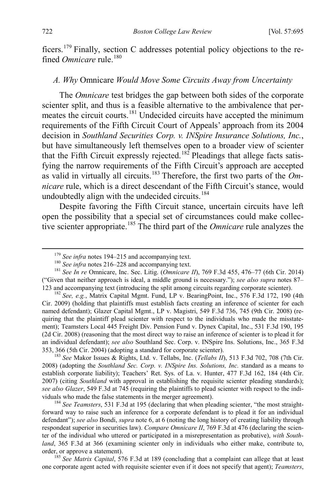ficers. [179](#page-28-1) Finally, section C addresses potential policy objections to the refined *Omnicare* rule.<sup>[180](#page-28-2)</sup>

# <span id="page-28-0"></span>*A. Why* Omnicare *Would Move Some Circuits Away from Uncertainty*

The *Omnicare* test bridges the gap between both sides of the corporate scienter split, and thus is a feasible alternative to the ambivalence that per-meates the circuit courts.<sup>[181](#page-28-3)</sup> Undecided circuits have accepted the minimum requirements of the Fifth Circuit Court of Appeals' approach from its 2004 decision in *Southland Securities Corp. v. INSpire Insurance Solutions, Inc.*, but have simultaneously left themselves open to a broader view of scienter that the Fifth Circuit expressly rejected.<sup>182</sup> Pleadings that allege facts satisfying the narrow requirements of the Fifth Circuit's approach are accepted as valid in virtually all circuits.<sup>[183](#page-28-5)</sup> Therefore, the first two parts of the *Omnicare* rule, which is a direct descendant of the Fifth Circuit's stance, would undoubtedly align with the undecided circuits.<sup>[184](#page-28-6)</sup>

Despite favoring the Fifth Circuit stance, uncertain circuits have left open the possibility that a special set of circumstances could make collective scienter appropriate.[185](#page-28-7) The third part of the *Omnicare* rule analyzes the

<span id="page-28-5"></span><sup>183</sup> See Makor Issues & Rights, Ltd. v. Tellabs, Inc. (*Tellabs II*), 513 F.3d 702, 708 (7th Cir. 2008) (adopting the *Southland Sec. Corp. v. INSpire Ins. Solutions, Inc.* standard as a means to establish corporate liability); Teachers' Ret. Sys. of La. v. Hunter, 477 F.3d 162, 184 (4th Cir. 2007) (citing *Southland* with approval in establishing the requisite scienter pleading standards); *see also Glazer*, 549 F.3d at 745 (requiring the plaintiffs to plead scienter with respect to the individuals who made the false statements in the merger agreement). <sup>184</sup> *See Teamsters*, 531 F.3d at 195 (declaring that when pleading scienter, "the most straight-

<span id="page-28-6"></span>forward way to raise such an inference for a corporate defendant is to plead it for an individual defendant"); *see also* Bondi, *supra* not[e 6,](#page-2-8) at 6 (noting the long history of creating liability through respondeat superior in securities law). *Compare Omnicare II*, 769 F.3d at 476 (declaring the scienter of the individual who uttered or participated in a misrepresentation as probative), *with Southland*, 365 F.3d at 366 (examining scienter only in individuals who either make, contribute to, order, or approve a statement). <sup>185</sup> *See Matrix Capital*, 576 F.3d at 189 (concluding that a complaint can allege that at least

<span id="page-28-7"></span>one corporate agent acted with requisite scienter even if it does not specify that agent); *Teamsters*,

<span id="page-28-3"></span><span id="page-28-2"></span><span id="page-28-1"></span><sup>&</sup>lt;sup>179</sup> *See infra* notes [194–](#page-30-0)[215](#page-33-0) and accompanying text.<br><sup>180</sup> *See infra* notes [216–](#page-33-1)[228](#page-35-0) and accompanying text.<br><sup>181</sup> *See In re* Omnicare, Inc. Sec. Litig. (*Omnicare II*), 769 F.3d 455, 476–77 (6th Cir. 2014) ("Given that neither approach is ideal, a middle ground is necessary."); *see also supra* notes [87–](#page-15-0) [123](#page-20-0) and accompanying text (introducing the split among circuits regarding corporate scienter).

<span id="page-28-4"></span><sup>182</sup> *See, e.g.*, Matrix Capital Mgmt. Fund, LP v. BearingPoint, Inc., 576 F.3d 172, 190 (4th Cir. 2009) (holding that plaintiffs must establish facts creating an inference of scienter for each named defendant); Glazer Capital Mgmt., LP v. Magistri, 549 F.3d 736, 745 (9th Cir. 2008) (requiring that the plaintiff plead scienter with respect to the individuals who made the misstatement); Teamsters Local 445 Freight Div. Pension Fund v. Dynex Capital, Inc., 531 F.3d 190, 195 (2d Cir. 2008) (reasoning that the most direct way to raise an inference of scienter is to plead it for an individual defendant); *see also* Southland Sec. Corp. v. INSpire Ins. Solutions, Inc., 365 F.3d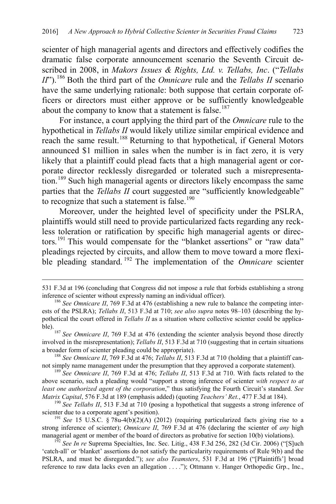scienter of high managerial agents and directors and effectively codifies the dramatic false corporate announcement scenario the Seventh Circuit described in 2008, in *Makors Issues & Rights, Ltd. v. Tellabs, Inc*. ("*Tellabs II*"). [186](#page-29-0) Both the third part of the *Omnicare* rule and the *Tellabs II* scenario have the same underlying rationale: both suppose that certain corporate officers or directors must either approve or be sufficiently knowledgeable about the company to know that a statement is false.<sup>[187](#page-29-1)</sup>

For instance, a court applying the third part of the *Omnicare* rule to the hypothetical in *Tellabs II* would likely utilize similar empirical evidence and reach the same result.<sup>[188](#page-29-2)</sup> Returning to that hypothetical, if General Motors announced \$1 million in sales when the number is in fact zero, it is very likely that a plaintiff could plead facts that a high managerial agent or corporate director recklessly disregarded or tolerated such a misrepresentation.[189](#page-29-3) Such high managerial agents or directors likely encompass the same parties that the *Tellabs II* court suggested are "sufficiently knowledgeable" to recognize that such a statement is false.<sup>[190](#page-29-4)</sup>

Moreover, under the heighted level of specificity under the PSLRA, plaintiffs would still need to provide particularized facts regarding any reckless toleration or ratification by specific high managerial agents or directors.[191](#page-29-5) This would compensate for the "blanket assertions" or "raw data" pleadings rejected by circuits, and allow them to move toward a more flexible pleading standard. [192](#page-29-6) The implementation of the *Omnicare* scienter

<sup>531</sup> F.3d at 196 (concluding that Congress did not impose a rule that forbids establishing a strong inference of scienter without expressly naming an individual officer).

<span id="page-29-0"></span><sup>&</sup>lt;sup>186</sup> *See Omnicare II*, 769 F.3d at 476 (establishing a new rule to balance the competing interests of the PSLRA); *Tellabs II*, 513 F.3d at 710; *see also supra* notes [98](#page-16-2)[–103](#page-17-7) (describing the hypothetical the court offered in *Tellabs II* as a situation where collective scienter could be applica-

<span id="page-29-1"></span>ble).<sup>187</sup> *See Omnicare II*, 769 F.3d at 476 (extending the scienter analysis beyond those directly involved in the misrepresentation); *Tellabs II*, 513 F.3d at 710 (suggesting that in certain situations a broader form of scienter pleading could be appropriate).

<span id="page-29-2"></span><sup>&</sup>lt;sup>188</sup> *See Omnicare II*, 769 F.3d at 476; *Tellabs II*, 513 F.3d at 710 (holding that a plaintiff cannot simply name management under the presumption that they approved a corporate statement).

<span id="page-29-3"></span><sup>&</sup>lt;sup>189</sup> See Omnicare II, 769 F.3d at 476; *Tellabs II*, 513 F.3d at 710. With facts related to the above scenario, such a pleading would "support a strong inference of scienter *with respect to at least one authorized agent of the corporation*," thus satisfying the Fourth Circuit's standard. *See Matrix Capital*, 576 F.3d at 189 (emphasis added) (quoting *Teachers' Ret.*, 477 F.3d at 184).

<span id="page-29-4"></span><sup>&</sup>lt;sup>190</sup> See Tellabs II, 513 F.3d at 710 (posing a hypothetical that suggests a strong inference of scienter due to a corporate agent's position).<br><sup>191</sup> *See* 15 U.S.C. § 78u-4(b)(2)(A) (2012) (requiring particularized facts giving rise to a

<span id="page-29-5"></span>strong inference of scienter); *Omnicare II*, 769 F.3d at 476 (declaring the scienter of *any* high managerial agent or member of the board of directors as probative for section 10(b) violations).

<span id="page-29-6"></span> $\frac{152}{2}$  See In re Suprema Specialties, Inc. Sec. Litig., 438 F.3d 256, 282 (3d Cir. 2006) ("[S]uch 'catch-all' or 'blanket' assertions do not satisfy the particularity requirements of Rule 9(b) and the PSLRA, and must be disregarded."); *see also Teamsters*, 531 F.3d at 196 ("[Plaintiffs'] broad reference to raw data lacks even an allegation . . . ."); Ottmann v. Hanger Orthopedic Grp., Inc.,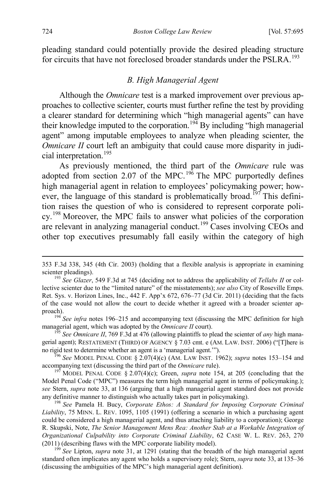pleading standard could potentially provide the desired pleading structure for circuits that have not foreclosed broader standards under the PSLRA.<sup>[193](#page-30-3)</sup>

#### <span id="page-30-2"></span><span id="page-30-1"></span><span id="page-30-0"></span>*B. High Managerial Agent*

Although the *Omnicare* test is a marked improvement over previous approaches to collective scienter, courts must further refine the test by providing a clearer standard for determining which "high managerial agents" can have their knowledge imputed to the corporation.<sup>[194](#page-30-4)</sup> By including "high managerial agent" among imputable employees to analyze when pleading scienter, the *Omnicare II* court left an ambiguity that could cause more disparity in judicial interpretation.[195](#page-30-5) 

<span id="page-30-10"></span>As previously mentioned, the third part of the *Omnicare* rule was adopted from section 2.07 of the MPC.<sup>[196](#page-30-6)</sup> The MPC purportedly defines high managerial agent in relation to employees' policymaking power; how-ever, the language of this standard is problematically broad.<sup>[197](#page-30-7)</sup> This definition raises the question of who is considered to represent corporate poli-cy.<sup>[198](#page-30-8)</sup> Moreover, the MPC fails to answer what policies of the corporation are relevant in analyzing managerial conduct.<sup>[199](#page-30-9)</sup> Cases involving CEOs and other top executives presumably fall easily within the category of high

<span id="page-30-4"></span>proach).<br><sup>194</sup> *See infra* notes [196](#page-30-2)[–215](#page-33-0) and accompanying text (discussing the MPC definition for high managerial agent, which was adopted by the *Omnicare II* court).

<span id="page-30-5"></span><sup>195</sup> See *Omnicare II*, 769 F.3d at 476 (allowing plaintiffs to plead the scienter of *any* high managerial agent); RESTATEMENT (THIRD) OF AGENCY § 7.03 cmt. e (AM. LAW. INST. 2006) ("[T]here is no rigid test to determine whether an agent is a 'managerial agent."").

<span id="page-30-6"></span><sup>196</sup> See MODEL PENAL CODE § 2.07(4)(c) (AM. LAW INST. 1962); *supra* notes [153](#page-24-8)[–154](#page-24-9) and accompanying text (discussing the third part of the *Omnicare* rule).

<span id="page-30-7"></span><sup>197</sup> MODEL PENAL CODE § 2.07(4)(c); Green, *supra* note [154,](#page-24-9) at 205 (concluding that the Model Penal Code ("MPC") measures the term high managerial agent in terms of policymaking.); *see* Stern, *supra* note [33,](#page-5-11) at 136 (arguing that a high managerial agent standard does not provide any definitive manner to distinguish who actually takes part in policymaking). <sup>198</sup> *See* Pamela H. Bucy, *Corporate Ethos: A Standard for Imposing Corporate Criminal* 

<span id="page-30-8"></span>*Liability*, 75 MINN. L. REV. 1095, 1105 (1991) (offering a scenario in which a purchasing agent could be considered a high managerial agent, and thus attaching liability to a corporation); George R. Skupski, Note, *The Senior Management Mens Rea: Another Stab at a Workable Integration of Organizational Culpability into Corporate Criminal Liability*, 62 CASE W. L. REV. 263, 270 (2011) (describing flaws with the MPC corporate liability model).

<span id="page-30-9"></span><sup>199</sup> See Lipton, *supra* note [31,](#page-5-10) at 1291 (stating that the breadth of the high managerial agent standard often implicates any agent who holds a supervisory role); Stern, *supra* note [33,](#page-5-11) at 135–36 (discussing the ambiguities of the MPC's high managerial agent definition).

 <sup>353</sup> F.3d 338, 345 (4th Cir. 2003) (holding that a flexible analysis is appropriate in examining scienter pleadings).<br><sup>193</sup> *See Glazer*, 549 F.3d at 745 (deciding not to address the applicability of *Tellabs II* or col-

<span id="page-30-3"></span>lective scienter due to the "limited nature" of the misstatements); *see also* City of Roseville Emps. Ret. Sys. v. Horizon Lines, Inc., 442 F. App'x 672, 676–77 (3d Cir. 2011) (deciding that the facts of the case would not allow the court to decide whether it agreed with a broader scienter ap-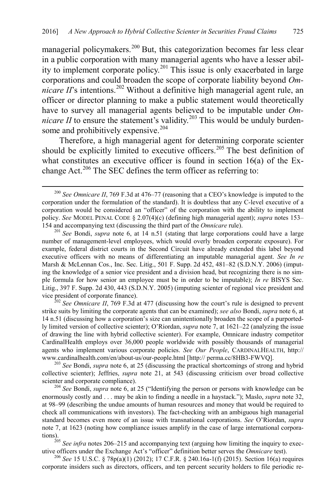managerial policymakers.<sup>[200](#page-31-1)</sup> But, this categorization becomes far less clear in a public corporation with many managerial agents who have a lesser ability to implement corporate policy.[201](#page-31-2) This issue is only exacerbated in large corporations and could broaden the scope of corporate liability beyond *Omnicare*  $II$ 's intentions.<sup>[202](#page-31-3)</sup> Without a definitive high managerial agent rule, an officer or director planning to make a public statement would theoretically have to survey all managerial agents believed to be imputable under *Omnicare II* to ensure the statement's validity.<sup>[203](#page-31-4)</sup> This would be unduly burdensome and prohibitively expensive.<sup>204</sup>

Therefore, a high managerial agent for determining corporate scienter should be explicitly limited to executive officers. [205](#page-31-6) The best definition of what constitutes an executive officer is found in section 16(a) of the Ex-change Act.<sup>[206](#page-31-7)</sup> The SEC defines the term officer as referring to:

<span id="page-31-2"></span>number of management-level employees, which would overly broaden corporate exposure). For example, federal district courts in the Second Circuit have already extended this label beyond executive officers with no means of differentiating an imputable managerial agent. *See In re* Marsh & McLennan Cos., Inc. Sec. Litig., 501 F. Supp. 2d 452, 481–82 (S.D.N.Y. 2006) (imputing the knowledge of a senior vice president and a division head, but recognizing there is no simple formula for how senior an employee must be in order to be imputable); *In re* BISYS Sec. Litig., 397 F. Supp. 2d 430, 443 (S.D.N.Y. 2005) (imputing scienter of regional vice president and vice president of corporate finance). <sup>202</sup> *See Omnicare II*, 769 F.3d at 477 (discussing how the court's rule is designed to prevent

<span id="page-31-3"></span>strike suits by limiting the corporate agents that can be examined); *see also* Bondi, *supra* not[e 6,](#page-2-8) at 14 n.51 (discussing how a corporation's size can unintentionally broaden the scope of a purportedly limited version of collective scienter); O'Riordan, *supra* not[e 7,](#page-2-7) at 1621–22 (analyzing the issue of drawing the line with hybrid collective scienter). For example, Omnicare industry competitor CardinalHealth employs over 36,000 people worldwide with possibly thousands of managerial agents who implement various corporate policies. *See Our People*, CARDINALHEALTH, http:// www.cardinalhealth.com/en/about-us/our-people.html [http:// perma.cc/8HB3-FWVQ]. <sup>203</sup> *See* Bondi, *supra* not[e 6,](#page-2-8) at 25 (discussing the practical shortcomings of strong and hybrid

<span id="page-31-4"></span>collective scienter); Jeffries, *supra* note [21,](#page-4-1) at 543 (discussing criticism over broad collective scienter and corporate compliance).<br><sup>204</sup> *See* Bondi, *supra* note [6,](#page-2-8) at 25 ("Identifying the person or persons with knowledge can be

<span id="page-31-5"></span>enormously costly and . . . may be akin to finding a needle in a haystack."); Maslo, *supra* not[e 32,](#page-5-9) at 98–99 (describing the undue amounts of human resources and money that would be required to check all communications with investors). The fact-checking with an ambiguous high managerial standard becomes even more of an issue with transnational corporations. *See* O'Riordan, *supra* note [7,](#page-2-7) at 1623 (noting how compliance issues amplify in the case of large international corporations).

<span id="page-31-6"></span><sup>205</sup> See infra note[s 206](#page-31-0)[–215](#page-33-0) and accompanying text (arguing how limiting the inquiry to exec-

<span id="page-31-7"></span>utive officers under the Exchange Act's "officer" definition better serves the *Omnicare* test). <sup>206</sup> *See* 15 U.S.C. § 78p(a)(1) (2012); 17 C.F.R. § 240.16a-1(f) (2015). Section 16(a) requires corporate insiders such as directors, officers, and ten percent security holders to file periodic re-

<span id="page-31-1"></span><span id="page-31-0"></span> <sup>200</sup> *See Omnicare II*, 769 F.3d at 476–77 (reasoning that a CEO's knowledge is imputed to the corporation under the formulation of the standard). It is doubtless that any C-level executive of a corporation would be considered an "officer" of the corporation with the ability to implement policy. *See* MODEL PENAL CODE § 2.07(4)(c) (defining high managerial agent); *supra* notes [153–](#page-24-8) [154](#page-24-9) and accompanying text (discussing the third part of the *Omnicare* rule). <sup>201</sup> *See* Bondi, *supra* note [6,](#page-2-8) at 14 n.51 (stating that large corporations could have a large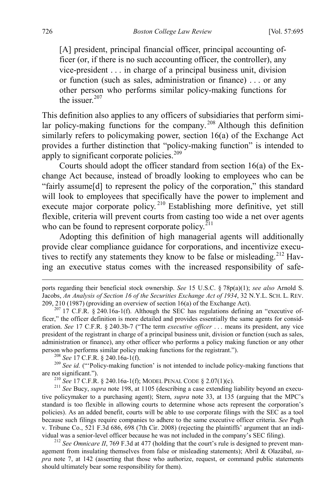[A] president, principal financial officer, principal accounting officer (or, if there is no such accounting officer, the controller), any vice-president . . . in charge of a principal business unit, division or function (such as sales, administration or finance) . . . or any other person who performs similar policy-making functions for the issuer  $207$ 

This definition also applies to any officers of subsidiaries that perform simi-lar policy-making functions for the company.<sup>[208](#page-32-1)</sup> Although this definition similarly refers to policymaking power, section 16(a) of the Exchange Act provides a further distinction that "policy-making function" is intended to apply to significant corporate policies.<sup>[209](#page-32-2)</sup>

Courts should adopt the officer standard from section 16(a) of the Exchange Act because, instead of broadly looking to employees who can be "fairly assume[d] to represent the policy of the corporation," this standard will look to employees that specifically have the power to implement and execute major corporate policy.<sup>[210](#page-32-3)</sup> Establishing more definitive, yet still flexible, criteria will prevent courts from casting too wide a net over agents who can be found to represent corporate policy. $^{211}$  $^{211}$  $^{211}$ 

Adopting this definition of high managerial agents will additionally provide clear compliance guidance for corporations, and incentivize execu-tives to rectify any statements they know to be false or misleading.<sup>[212](#page-32-5)</sup> Having an executive status comes with the increased responsibility of safe-

<span id="page-32-2"></span><span id="page-32-1"></span>are not significant.").<br><sup>210</sup> *See* 17 C.F.R. § 240.16a-1(f); MODEL PENAL CODE § 2.07(1)(c).<br><sup>211</sup> *See* Bucy, *supra* note [198,](#page-30-10) at 1105 (describing a case extending liability beyond an execu-

<span id="page-32-4"></span><span id="page-32-3"></span>tive policymaker to a purchasing agent); Stern, *supra* note [33,](#page-5-11) at 135 (arguing that the MPC's standard is too flexible in allowing courts to determine whose acts represent the corporation's policies). As an added benefit, courts will be able to use corporate filings with the SEC as a tool because such filings require companies to adhere to the same executive officer criteria. *See* Pugh v. Tribune Co., 521 F.3d 686, 698 (7th Cir. 2008) (rejecting the plaintiffs' argument that an individual was a senior-level officer because he was not included in the company's SEC filing).<br><sup>212</sup> *See Omnicare II*, 769 F.3d at 477 (holding that the court's rule is designed to prevent man-

<span id="page-32-5"></span>agement from insulating themselves from false or misleading statements); Abril & Olazábal, *supra* note [7,](#page-2-7) at 142 (asserting that those who authorize, request, or command public statements should ultimately bear some responsibility for them).

ports regarding their beneficial stock ownership. *See* 15 U.S.C. § 78p(a)(1); *see also* Arnold S. Jacobs, *An Analysis of Section 16 of the Securities Exchange Act of 1934*, 32 N.Y.L. SCH. L. REV. 209, 210 (1987) (providing an overview of section 16(a) of the Exchange Act).

<span id="page-32-0"></span> $207$  17 C.F.R. § 240.16a-1(f). Although the SEC has regulations defining an "executive officer," the officer definition is more detailed and provides essentially the same agents for consideration. *See* 17 C.F.R. § 240.3b-7 ("The term *executive officer* . . . means its president, any vice president of the registrant in charge of a principal business unit, division or function (such as sales, administration or finance), any other officer who performs a policy making function or any other person who performs similar policy making functions for the registrant.").<br><sup>208</sup> *See* 17 C.F.R. § 240.16a-1(f).<br><sup>209</sup> *See id.* ("Policy-making function' is not intended to include policy-making functions that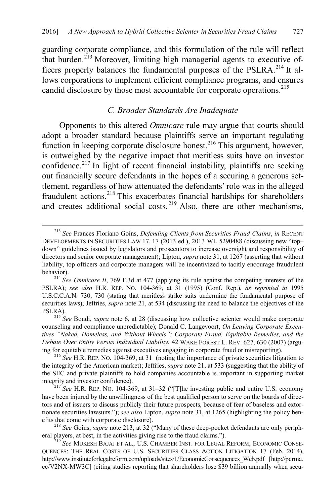<span id="page-33-2"></span>guarding corporate compliance, and this formulation of the rule will reflect that burden.<sup>[213](#page-33-3)</sup> Moreover, limiting high managerial agents to executive officers properly balances the fundamental purposes of the PSLRA.[214](#page-33-4) It allows corporations to implement efficient compliance programs, and ensures candid disclosure by those most accountable for corporate operations.<sup>[215](#page-33-5)</sup>

### <span id="page-33-1"></span><span id="page-33-0"></span>*C. Broader Standards Are Inadequate*

Opponents to this altered *Omnicare* rule may argue that courts should adopt a broader standard because plaintiffs serve an important regulating function in keeping corporate disclosure honest.<sup>[216](#page-33-6)</sup> This argument, however, is outweighed by the negative impact that meritless suits have on investor confidence.<sup>[217](#page-33-7)</sup> In light of recent financial instability, plaintiffs are seeking out financially secure defendants in the hopes of a securing a generous settlement, regardless of how attenuated the defendants' role was in the alleged fraudulent actions. [218](#page-33-8) This exacerbates financial hardships for shareholders and creates additional social costs.  $2^{19}$  Also, there are other mechanisms,

<span id="page-33-3"></span> <sup>213</sup> *See* Frances Floriano Goins, *Defending Clients from Securities Fraud Claims*, *in* RECENT DEVELOPMENTS IN SECURITIES LAW 17, 17 (2013 ed.), 2013 WL 5290488 (discussing new "top– down" guidelines issued by legislators and prosecutors to increase oversight and responsibility of directors and senior corporate management); Lipton, *supra* note [31,](#page-5-10) at 1267 (asserting that without liability, top officers and corporate managers will be incentivized to tacitly encourage fraudulent behavior). <sup>214</sup> *See Omnicare II*, 769 F.3d at 477 (applying its rule against the competing interests of the

<span id="page-33-4"></span>PSLRA); *see also* H.R. REP. NO. 104-369, at 31 (1995) (Conf. Rep.), *as reprinted in* 1995 U.S.C.C.A.N. 730, 730 (stating that meritless strike suits undermine the fundamental purpose of securities laws); Jeffries, *supra* not[e 21,](#page-4-1) at 534 (discussing the need to balance the objectives of the PSLRA). <sup>215</sup> *See* Bondi, *supra* note [6,](#page-2-8) at 28 (discussing how collective scienter would make corporate

<span id="page-33-5"></span>counseling and compliance unpredictable); Donald C. Langevoort, *On Leaving Corporate Executives "Naked, Homeless, and Without Wheels": Corporate Fraud, Equitable Remedies, and the Debate Over Entity Versus Individual Liability*, 42 WAKE FOREST L. REV. 627, 630 (2007) (arguing for equitable remedies against executives engaging in corporate fraud or misreporting).

<span id="page-33-6"></span> $^{216}$  *See* H.R. REP. NO. 104-369, at 31 (noting the importance of private securities litigation to the integrity of the American market); Jeffries, *supra* note [21,](#page-4-1) at 533 (suggesting that the ability of the SEC and private plaintiffs to hold companies accountable is important in supporting market integrity and investor confidence). <sup>217</sup> *See* H.R. REP. NO. 104-369, at 31–32 ("[T]he investing public and entire U.S. economy

<span id="page-33-7"></span>have been injured by the unwillingness of the best qualified person to serve on the boards of directors and of issuers to discuss publicly their future prospects, because of fear of baseless and extortionate securities lawsuits."); *see also* Lipton, *supra* note [31,](#page-5-10) at 1265 (highlighting the policy benefits that come with corporate disclosure). <sup>218</sup> *See* Goins, *supra* note [213,](#page-33-2) at 32 ("Many of these deep-pocket defendants are only periph-

<span id="page-33-8"></span>eral players, at best, in the activities giving rise to the fraud claims."). <sup>219</sup> *See* MUKESH BAJAJ ET AL., U.S. CHAMBER INST. FOR LEGAL REFORM, ECONOMIC CONSE-

<span id="page-33-9"></span>QUENCES: THE REAL COSTS OF U.S. SECURITIES CLASS ACTION LITIGATION 17 (Feb. 2014), http://www.instituteforlegalreform.com/uploads/sites/1/EconomicConsequences\_Web.pdf [http://perma. cc/V2NX-MW3C] (citing studies reporting that shareholders lose \$39 billion annually when secu-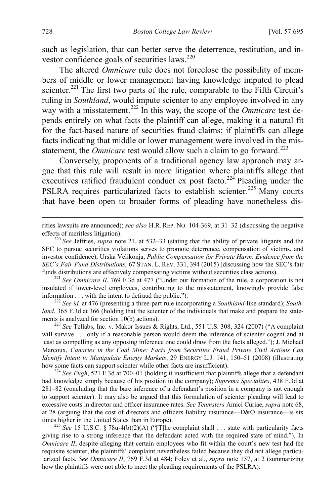such as legislation, that can better serve the deterrence, restitution, and in-vestor confidence goals of securities laws.<sup>[220](#page-34-0)</sup>

The altered *Omnicare* rule does not foreclose the possibility of members of middle or lower management having knowledge imputed to plead scienter.<sup>[221](#page-34-1)</sup> The first two parts of the rule, comparable to the Fifth Circuit's ruling in *Southland*, would impute scienter to any employee involved in any way with a misstatement.<sup>[222](#page-34-2)</sup> In this way, the scope of the *Omnicare* test depends entirely on what facts the plaintiff can allege, making it a natural fit for the fact-based nature of securities fraud claims; if plaintiffs can allege facts indicating that middle or lower management were involved in the misstatement, the *Omnicare* test would allow such a claim to go forward.<sup>[223](#page-34-3)</sup>

Conversely, proponents of a traditional agency law approach may argue that this rule will result in more litigation where plaintiffs allege that executives ratified fraudulent conduct ex post facto.<sup>[224](#page-34-4)</sup> Pleading under the PSLRA requires particularized facts to establish scienter.<sup>[225](#page-34-5)</sup> Many courts that have been open to broader forms of pleading have nonetheless dis-

<span id="page-34-1"></span>insulated if lower-level employees, contributing to the misstatement, knowingly provide false information . . . with the intent to defraud the public."). <sup>222</sup> *See id.* at 476 (presenting a three-part rule incorporating a *Southland*-like standard); *South-*

<span id="page-34-2"></span>*land*, 365 F.3d at 366 (holding that the scienter of the individuals that make and prepare the statements is analyzed for section 10(b) actions).<br><sup>223</sup> *See* Tellabs, Inc. v. Makor Issues & Rights, Ltd., 551 U.S. 308, 324 (2007) ("A complaint

<span id="page-34-3"></span>will survive . . . only if a reasonable person would deem the inference of scienter cogent and at least as compelling as any opposing inference one could draw from the facts alleged."); J. Michael Marcoux, *Canaries in the Coal Mine: Facts from Securities Fraud Private Civil Actions Can Identify Intent to Manipulate Energy Markets*, 29 ENERGY L.J. 141, 150–51 (2008) (illustrating how some facts can support scienter while other facts are insufficient). 224 *See Pugh*, 521 F.3d at 700–01 (holding it insufficient that plaintiffs allege that a defendant

<span id="page-34-4"></span>had knowledge simply because of his position in the company); *Suprema Specialties*, 438 F.3d at 281–82 (concluding that the bare inference of a defendant's position in a company is not enough to support scienter). It may also be argued that this formulation of scienter pleading will lead to excessive costs in director and officer insurance rates. *See Teamsters* Amici Curiae, *supra* not[e 68,](#page-12-0) at 28 (arguing that the cost of directors and officers liability insurance—D&O insurance—is six times higher in the United States than in Europe).

<span id="page-34-5"></span><sup>225</sup> *See* 15 U.S.C. § 78u-4(b)(2)(A) ("[T]he complaint shall . . . state with particularity facts giving rise to a strong inference that the defendant acted with the required state of mind."). In *Omnicare II*, despite alleging that certain employees who fit within the court's new test had the requisite scienter, the plaintiffs' complaint nevertheless failed because they did not allege particularized facts. *See Omnicare II*, 769 F.3d at 484; Foley et al., *supra* note [157,](#page-25-2) at 2 (summarizing how the plaintiffs were not able to meet the pleading requirements of the PSLRA).

rities lawsuits are announced); *see also* H.R. REP. NO. 104-369, at 31–32 (discussing the negative effects of meritless litigation). 220 *See* Jeffries, *supra* note [21,](#page-4-1) at 532–33 (stating that the ability of private litigants and the

<span id="page-34-0"></span>SEC to pursue securities violations serves to promote deterrence, compensation of victims, and investor confidence); Urska Velikonja, *Public Compensation for Private Harm*: *Evidence from the SEC's Fair Fund Distributions*, 67 STAN. L. REV. 331, 394 (2015) (discussing how the SEC's fair funds distributions are effectively compensating victims without securities class actions). <sup>221</sup> *See Omnicare II*, 769 F.3d at 477 ("Under our formation of the rule, a corporation is not